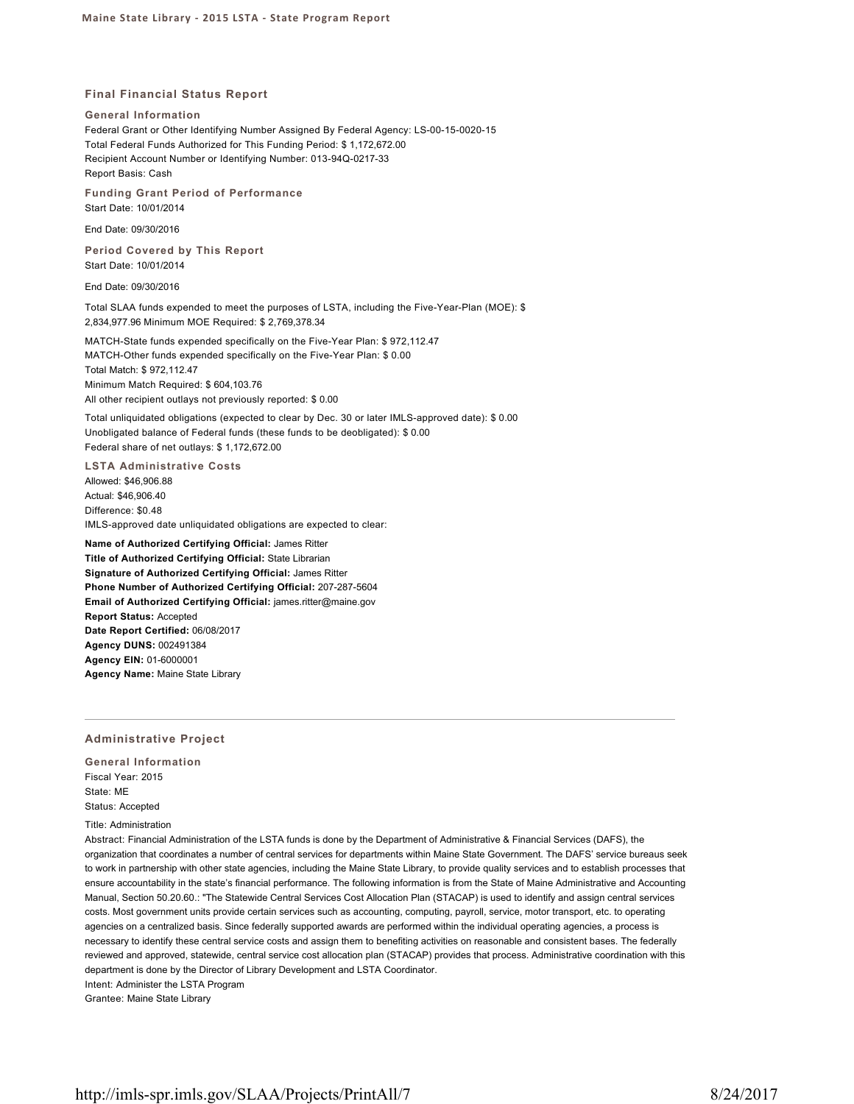#### **Final Financial Status Report**

**General Information**

Federal Grant or Other Identifying Number Assigned By Federal Agency: LS-00-15-0020-15 Total Federal Funds Authorized for This Funding Period: \$ 1,172,672.00 Recipient Account Number or Identifying Number: 013-94Q-0217-33 Report Basis: Cash

**Funding Grant Period of Performance** Start Date: 10/01/2014

End Date: 09/30/2016

**Period Covered by This Report** Start Date: 10/01/2014

End Date: 09/30/2016

Total SLAA funds expended to meet the purposes of LSTA, including the Five-Year-Plan (MOE): \$ 2,834,977.96 Minimum MOE Required: \$ 2,769,378.34

MATCH-State funds expended specifically on the Five-Year Plan: \$ 972,112.47 MATCH-Other funds expended specifically on the Five-Year Plan: \$ 0.00 Total Match: \$ 972,112.47 Minimum Match Required: \$ 604,103.76 All other recipient outlays not previously reported: \$ 0.00

Total unliquidated obligations (expected to clear by Dec. 30 or later IMLS-approved date): \$ 0.00 Unobligated balance of Federal funds (these funds to be deobligated): \$ 0.00 Federal share of net outlays: \$ 1,172,672.00

**LSTA Administrative Costs** Allowed: \$46,906.88 Actual: \$46,906.40 Difference: \$0.48 IMLS-approved date unliquidated obligations are expected to clear:

**Name of Authorized Certifying Official:** James Ritter **Title of Authorized Certifying Official:** State Librarian **Signature of Authorized Certifying Official:** James Ritter **Phone Number of Authorized Certifying Official:** 207-287-5604 **Email of Authorized Certifying Official:** james.ritter@maine.gov **Report Status:** Accepted **Date Report Certified:** 06/08/2017 **Agency DUNS:** 002491384 **Agency EIN:** 01-6000001 **Agency Name:** Maine State Library

# **Administrative Project**

**General Information** Fiscal Year: 2015 State: ME Status: Accepted

# Title: Administration

Abstract: Financial Administration of the LSTA funds is done by the Department of Administrative & Financial Services (DAFS), the organization that coordinates a number of central services for departments within Maine State Government. The DAFS' service bureaus seek to work in partnership with other state agencies, including the Maine State Library, to provide quality services and to establish processes that ensure accountability in the state's financial performance. The following information is from the State of Maine Administrative and Accounting Manual, Section 50.20.60.: "The Statewide Central Services Cost Allocation Plan (STACAP) is used to identify and assign central services costs. Most government units provide certain services such as accounting, computing, payroll, service, motor transport, etc. to operating agencies on a centralized basis. Since federally supported awards are performed within the individual operating agencies, a process is necessary to identify these central service costs and assign them to benefiting activities on reasonable and consistent bases. The federally reviewed and approved, statewide, central service cost allocation plan (STACAP) provides that process. Administrative coordination with this department is done by the Director of Library Development and LSTA Coordinator. Intent: Administer the LSTA Program

Grantee: Maine State Library

http://imls-spr.imls.gov/SLAA/Projects/PrintAll/7 8/24/2017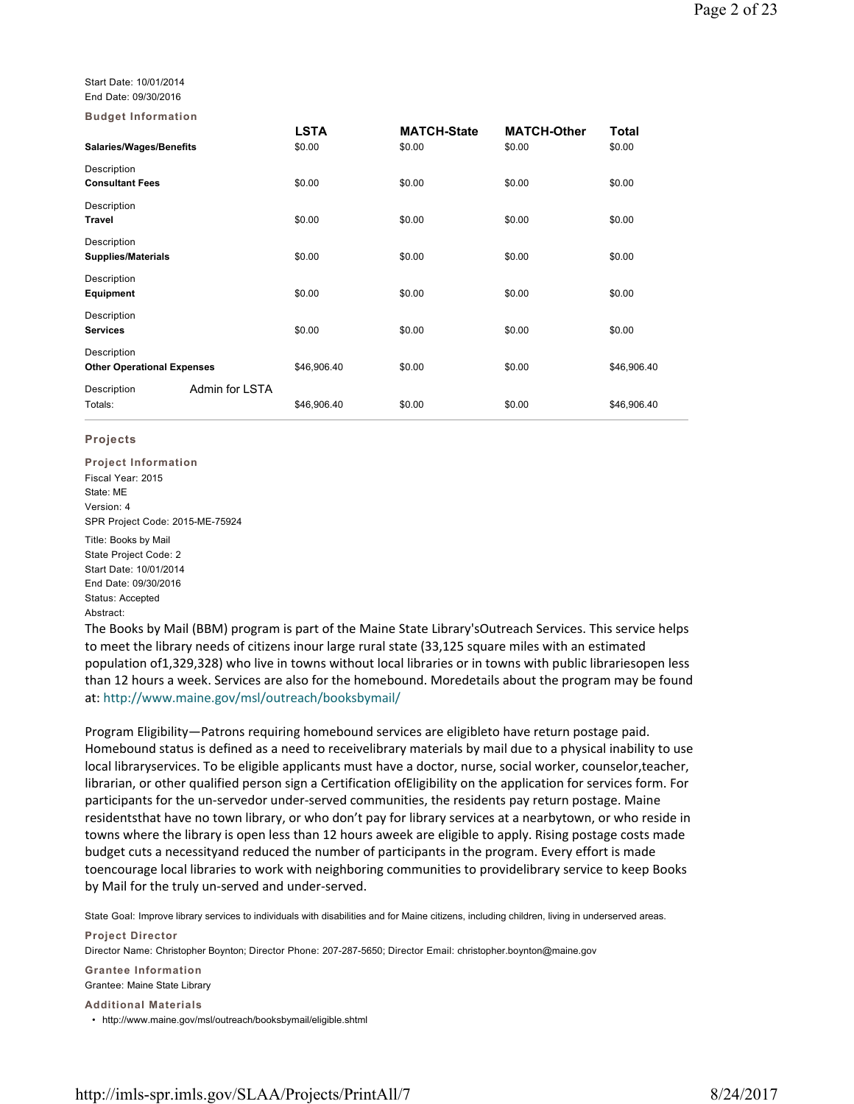Start Date: 10/01/2014 End Date: 09/30/2016

**Budget Information**

| _ _ _ _ _ _ _ _.                  |                |                       |                              |                              |                 |
|-----------------------------------|----------------|-----------------------|------------------------------|------------------------------|-----------------|
| Salaries/Wages/Benefits           |                | <b>LSTA</b><br>\$0.00 | <b>MATCH-State</b><br>\$0.00 | <b>MATCH-Other</b><br>\$0.00 | Total<br>\$0.00 |
| Description                       |                |                       |                              |                              |                 |
| <b>Consultant Fees</b>            |                | \$0.00                | \$0.00                       | \$0.00                       | \$0.00          |
| Description                       |                |                       |                              |                              |                 |
| <b>Travel</b>                     |                | \$0.00                | \$0.00                       | \$0.00                       | \$0.00          |
| Description                       |                |                       |                              |                              |                 |
| <b>Supplies/Materials</b>         |                | \$0.00                | \$0.00                       | \$0.00                       | \$0.00          |
| Description                       |                |                       |                              |                              |                 |
| <b>Equipment</b>                  |                | \$0.00                | \$0.00                       | \$0.00                       | \$0.00          |
| Description                       |                |                       |                              |                              |                 |
| <b>Services</b>                   |                | \$0.00                | \$0.00                       | \$0.00                       | \$0.00          |
| Description                       |                |                       |                              |                              |                 |
| <b>Other Operational Expenses</b> |                | \$46,906.40           | \$0.00                       | \$0.00                       | \$46,906.40     |
| Description                       | Admin for LSTA |                       |                              |                              |                 |
| Totals:                           |                | \$46,906.40           | \$0.00                       | \$0.00                       | \$46,906.40     |
|                                   |                |                       |                              |                              |                 |

# **Projects**

**Project Information** Fiscal Year: 2015 State: ME Version: 4 SPR Project Code: 2015-ME-75924

Title: Books by Mail State Project Code: 2 Start Date: 10/01/2014 End Date: 09/30/2016 Status: Accepted Abstract:

The Books by Mail (BBM) program is part of the Maine State Library'sOutreach Services. This service helps to meet the library needs of citizens inour large rural state (33,125 square miles with an estimated population of1,329,328) who live in towns without local libraries or in towns with public librariesopen less than 12 hours a week. Services are also for the homebound. Moredetails about the program may be found at: http://www.maine.gov/msl/outreach/booksbymail/

Program Eligibility—Patrons requiring homebound services are eligibleto have return postage paid. Homebound status is defined as a need to receivelibrary materials by mail due to a physical inability to use local libraryservices. To be eligible applicants must have a doctor, nurse, social worker, counselor,teacher, librarian, or other qualified person sign a Certification ofEligibility on the application for services form. For participants for the un-servedor under-served communities, the residents pay return postage. Maine residentsthat have no town library, or who don't pay for library services at a nearbytown, or who reside in towns where the library is open less than 12 hours aweek are eligible to apply. Rising postage costs made budget cuts a necessityand reduced the number of participants in the program. Every effort is made toencourage local libraries to work with neighboring communities to providelibrary service to keep Books by Mail for the truly un-served and under-served.

State Goal: Improve library services to individuals with disabilities and for Maine citizens, including children, living in underserved areas.

**Project Director** Director Name: Christopher Boynton; Director Phone: 207-287-5650; Director Email: christopher.boynton@maine.gov **Grantee Information**

Grantee: Maine State Library

**Additional Materials**

• http://www.maine.gov/msl/outreach/booksbymail/eligible.shtml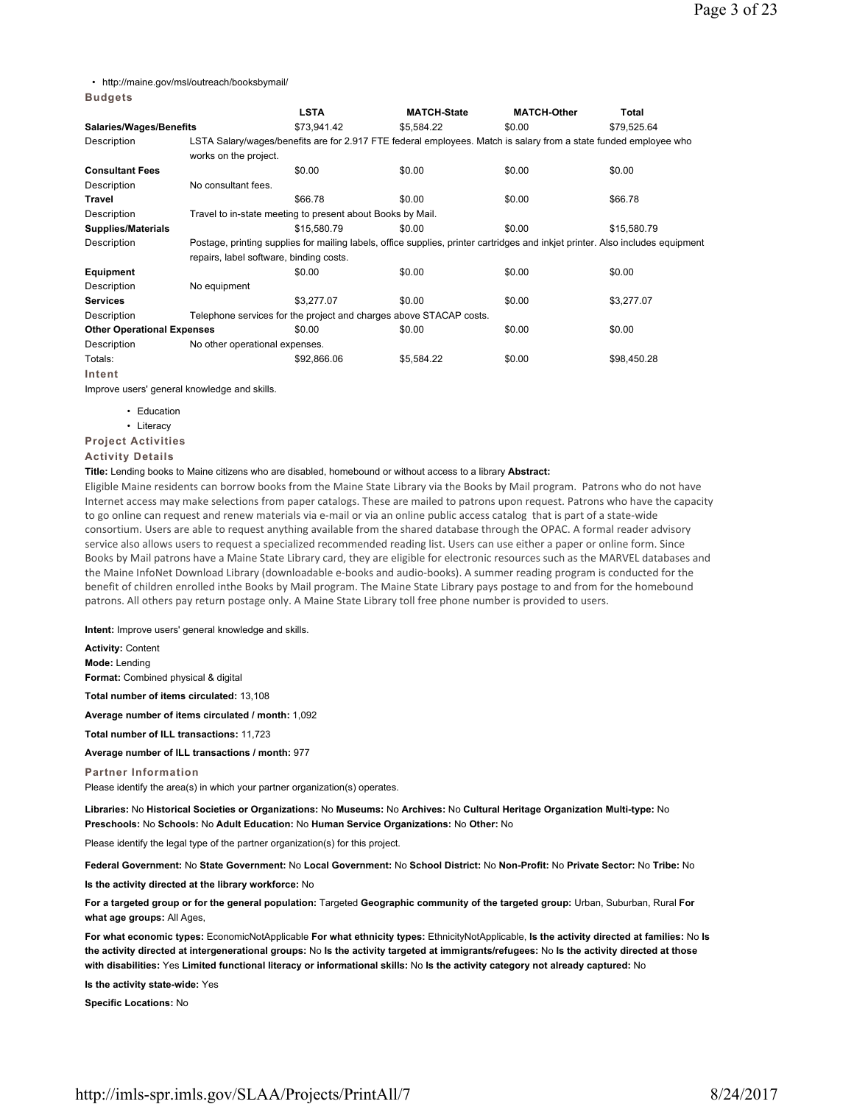• http://maine.gov/msl/outreach/booksbymail/

# **Budgets**

|                                   |                                                                                                                                | <b>LSTA</b>                                                | <b>MATCH-State</b>                                                                                               | <b>MATCH-Other</b> | Total       |  |  |
|-----------------------------------|--------------------------------------------------------------------------------------------------------------------------------|------------------------------------------------------------|------------------------------------------------------------------------------------------------------------------|--------------------|-------------|--|--|
| <b>Salaries/Wages/Benefits</b>    |                                                                                                                                | \$73,941.42                                                | \$5,584.22                                                                                                       | \$0.00             | \$79,525.64 |  |  |
| Description                       |                                                                                                                                |                                                            | LSTA Salary/wages/benefits are for 2.917 FTE federal employees. Match is salary from a state funded employee who |                    |             |  |  |
|                                   | works on the project.                                                                                                          |                                                            |                                                                                                                  |                    |             |  |  |
| <b>Consultant Fees</b>            |                                                                                                                                | \$0.00                                                     | \$0.00                                                                                                           | \$0.00             | \$0.00      |  |  |
| Description                       | No consultant fees.                                                                                                            |                                                            |                                                                                                                  |                    |             |  |  |
| Travel                            |                                                                                                                                | \$66.78                                                    | \$0.00                                                                                                           | \$0.00             | \$66.78     |  |  |
| Description                       |                                                                                                                                | Travel to in-state meeting to present about Books by Mail. |                                                                                                                  |                    |             |  |  |
| <b>Supplies/Materials</b>         |                                                                                                                                | \$15,580.79                                                | \$0.00                                                                                                           | \$0.00             | \$15,580.79 |  |  |
| Description                       | Postage, printing supplies for mailing labels, office supplies, printer cartridges and inkjet printer. Also includes equipment |                                                            |                                                                                                                  |                    |             |  |  |
|                                   | repairs, label software, binding costs.                                                                                        |                                                            |                                                                                                                  |                    |             |  |  |
| Equipment                         |                                                                                                                                | \$0.00                                                     | \$0.00                                                                                                           | \$0.00             | \$0.00      |  |  |
| Description                       | No equipment                                                                                                                   |                                                            |                                                                                                                  |                    |             |  |  |
| <b>Services</b>                   |                                                                                                                                | \$3,277.07                                                 | \$0.00                                                                                                           | \$0.00             | \$3,277.07  |  |  |
| Description                       |                                                                                                                                |                                                            | Telephone services for the project and charges above STACAP costs.                                               |                    |             |  |  |
| <b>Other Operational Expenses</b> |                                                                                                                                | \$0.00                                                     | \$0.00                                                                                                           | \$0.00             | \$0.00      |  |  |
| Description                       | No other operational expenses.                                                                                                 |                                                            |                                                                                                                  |                    |             |  |  |
| Totals:                           |                                                                                                                                | \$92,866.06                                                | \$5,584.22                                                                                                       | \$0.00             | \$98,450.28 |  |  |
| Intent                            |                                                                                                                                |                                                            |                                                                                                                  |                    |             |  |  |

Improve users' general knowledge and skills.

- Education
- Literacy

# **Project Activities**

**Activity Details**

## **Title:** Lending books to Maine citizens who are disabled, homebound or without access to a library **Abstract:**

Eligible Maine residents can borrow books from the Maine State Library via the Books by Mail program. Patrons who do not have Internet access may make selections from paper catalogs. These are mailed to patrons upon request. Patrons who have the capacity to go online can request and renew materials via e-mail or via an online public access catalog that is part of a state-wide consortium. Users are able to request anything available from the shared database through the OPAC. A formal reader advisory service also allows users to request a specialized recommended reading list. Users can use either a paper or online form. Since Books by Mail patrons have a Maine State Library card, they are eligible for electronic resources such as the MARVEL databases and the Maine InfoNet Download Library (downloadable e-books and audio-books). A summer reading program is conducted for the benefit of children enrolled inthe Books by Mail program. The Maine State Library pays postage to and from for the homebound patrons. All others pay return postage only. A Maine State Library toll free phone number is provided to users.

**Intent:** Improve users' general knowledge and skills.

**Activity:** Content **Mode:** Lending **Format:** Combined physical & digital

**Total number of items circulated:** 13,108

**Average number of items circulated / month:** 1,092

**Total number of ILL transactions:** 11,723

**Average number of ILL transactions / month:** 977

**Partner Information**

Please identify the area(s) in which your partner organization(s) operates.

**Libraries:** No **Historical Societies or Organizations:** No **Museums:** No **Archives:** No **Cultural Heritage Organization Multi-type:** No **Preschools:** No **Schools:** No **Adult Education:** No **Human Service Organizations:** No **Other:** No

Please identify the legal type of the partner organization(s) for this project.

**Federal Government:** No **State Government:** No **Local Government:** No **School District:** No **Non-Profit:** No **Private Sector:** No **Tribe:** No

**Is the activity directed at the library workforce:** No

**For a targeted group or for the general population:** Targeted **Geographic community of the targeted group:** Urban, Suburban, Rural **For what age groups:** All Ages,

**For what economic types:** EconomicNotApplicable **For what ethnicity types:** EthnicityNotApplicable, **Is the activity directed at families:** No **Is the activity directed at intergenerational groups:** No **Is the activity targeted at immigrants/refugees:** No **Is the activity directed at those with disabilities:** Yes **Limited functional literacy or informational skills:** No **Is the activity category not already captured:** No

**Is the activity state-wide:** Yes

**Specific Locations:** No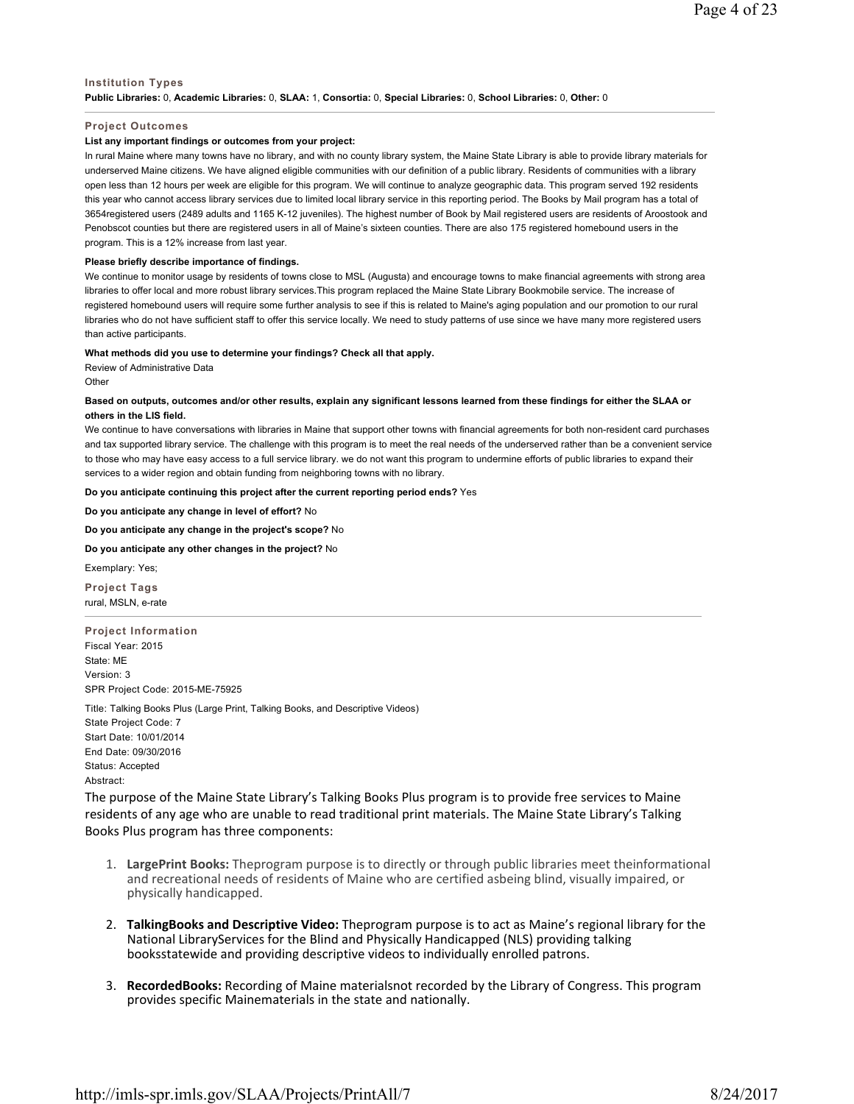# **Institution Types Public Libraries:** 0, **Academic Libraries:** 0, **SLAA:** 1, **Consortia:** 0, **Special Libraries:** 0, **School Libraries:** 0, **Other:** 0

### **Project Outcomes**

# **List any important findings or outcomes from your project:**

In rural Maine where many towns have no library, and with no county library system, the Maine State Library is able to provide library materials for underserved Maine citizens. We have aligned eligible communities with our definition of a public library. Residents of communities with a library open less than 12 hours per week are eligible for this program. We will continue to analyze geographic data. This program served 192 residents this year who cannot access library services due to limited local library service in this reporting period. The Books by Mail program has a total of 3654registered users (2489 adults and 1165 K-12 juveniles). The highest number of Book by Mail registered users are residents of Aroostook and Penobscot counties but there are registered users in all of Maine's sixteen counties. There are also 175 registered homebound users in the program. This is a 12% increase from last year.

### **Please briefly describe importance of findings.**

We continue to monitor usage by residents of towns close to MSL (Augusta) and encourage towns to make financial agreements with strong area libraries to offer local and more robust library services.This program replaced the Maine State Library Bookmobile service. The increase of registered homebound users will require some further analysis to see if this is related to Maine's aging population and our promotion to our rural libraries who do not have sufficient staff to offer this service locally. We need to study patterns of use since we have many more registered users than active participants.

# **What methods did you use to determine your findings? Check all that apply.**

Review of Administrative Data

**Other** 

# **Based on outputs, outcomes and/or other results, explain any significant lessons learned from these findings for either the SLAA or others in the LIS field.**

We continue to have conversations with libraries in Maine that support other towns with financial agreements for both non-resident card purchases and tax supported library service. The challenge with this program is to meet the real needs of the underserved rather than be a convenient service to those who may have easy access to a full service library. we do not want this program to undermine efforts of public libraries to expand their services to a wider region and obtain funding from neighboring towns with no library.

## **Do you anticipate continuing this project after the current reporting period ends?** Yes

**Do you anticipate any change in level of effort?** No

# **Do you anticipate any change in the project's scope?** No

## **Do you anticipate any other changes in the project?** No

Exemplary: Yes;

**Project Tags** rural, MSLN, e-rate

**Project Information** Fiscal Year: 2015 State: ME Version: 3 SPR Project Code: 2015-ME-75925

Title: Talking Books Plus (Large Print, Talking Books, and Descriptive Videos) State Project Code: 7

Start Date: 10/01/2014 End Date: 09/30/2016 Status: Accepted Abstract:

The purpose of the Maine State Library's Talking Books Plus program is to provide free services to Maine residents of any age who are unable to read traditional print materials. The Maine State Library's Talking Books Plus program has three components:

- 1. **LargePrint Books:** Theprogram purpose is to directly or through public libraries meet theinformational and recreational needs of residents of Maine who are certified asbeing blind, visually impaired, or physically handicapped.
- 2. **TalkingBooks and Descriptive Video:** Theprogram purpose is to act as Maine's regional library for the National LibraryServices for the Blind and Physically Handicapped (NLS) providing talking booksstatewide and providing descriptive videos to individually enrolled patrons.
- 3. **RecordedBooks:** Recording of Maine materialsnot recorded by the Library of Congress. This program provides specific Mainematerials in the state and nationally.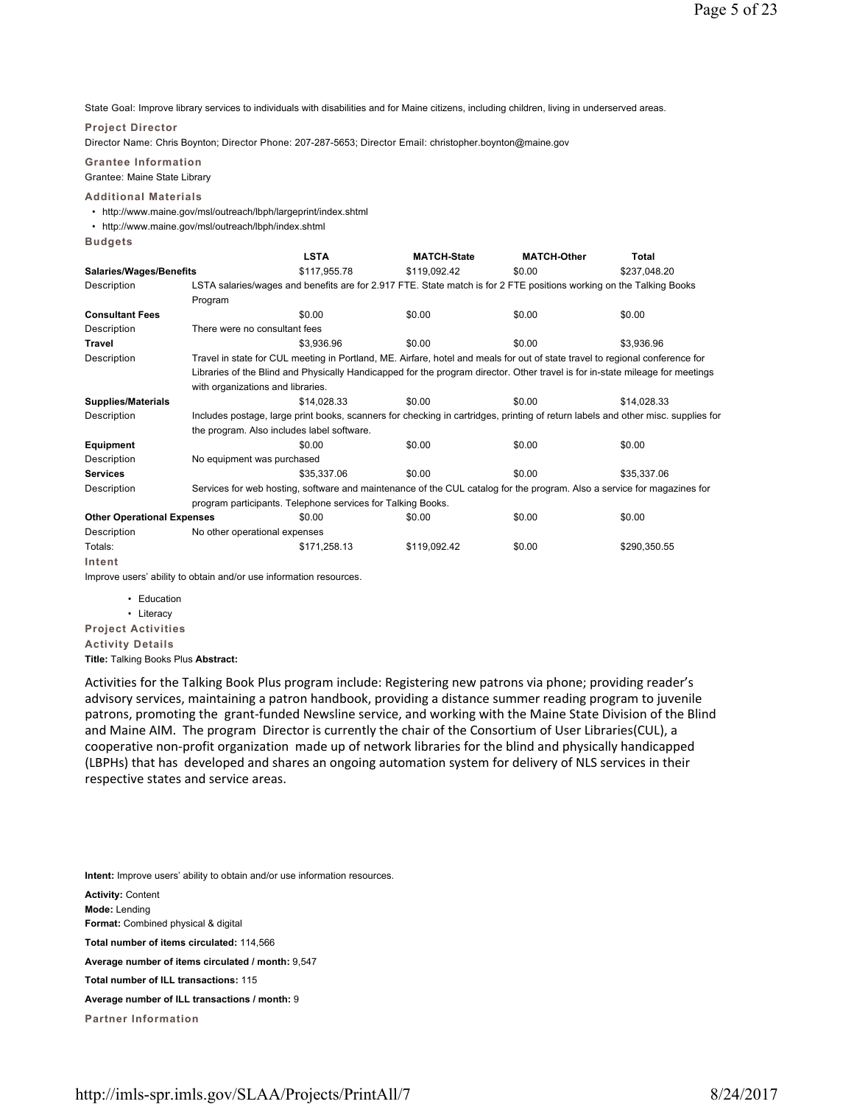State Goal: Improve library services to individuals with disabilities and for Maine citizens, including children, living in underserved areas.

## **Project Director**

Director Name: Chris Boynton; Director Phone: 207-287-5653; Director Email: christopher.boynton@maine.gov

**Grantee Information** Grantee: Maine State Library

## **Additional Materials**

- http://www.maine.gov/msl/outreach/lbph/largeprint/index.shtml
- http://www.maine.gov/msl/outreach/lbph/index.shtml

**Budgets**

|                                   |                                                                                                                                  | <b>LSTA</b>                                                                                                                  | <b>MATCH-State</b> | <b>MATCH-Other</b> | <b>Total</b> |  |  |  |
|-----------------------------------|----------------------------------------------------------------------------------------------------------------------------------|------------------------------------------------------------------------------------------------------------------------------|--------------------|--------------------|--------------|--|--|--|
| Salaries/Wages/Benefits           |                                                                                                                                  | \$117,955.78                                                                                                                 | \$119,092.42       | \$0.00             | \$237,048.20 |  |  |  |
| Description                       | LSTA salaries/wages and benefits are for 2.917 FTE. State match is for 2 FTE positions working on the Talking Books              |                                                                                                                              |                    |                    |              |  |  |  |
|                                   | Program                                                                                                                          |                                                                                                                              |                    |                    |              |  |  |  |
| <b>Consultant Fees</b>            |                                                                                                                                  | \$0.00                                                                                                                       | \$0.00             | \$0.00             | \$0.00       |  |  |  |
| Description                       |                                                                                                                                  | There were no consultant fees                                                                                                |                    |                    |              |  |  |  |
| <b>Travel</b>                     |                                                                                                                                  | \$3.936.96                                                                                                                   | \$0.00             | \$0.00             | \$3,936.96   |  |  |  |
| Description                       |                                                                                                                                  | Travel in state for CUL meeting in Portland, ME. Airfare, hotel and meals for out of state travel to regional conference for |                    |                    |              |  |  |  |
|                                   | Libraries of the Blind and Physically Handicapped for the program director. Other travel is for in-state mileage for meetings    |                                                                                                                              |                    |                    |              |  |  |  |
|                                   | with organizations and libraries.                                                                                                |                                                                                                                              |                    |                    |              |  |  |  |
| <b>Supplies/Materials</b>         |                                                                                                                                  | \$14,028.33                                                                                                                  | \$0.00             | \$0.00             | \$14,028.33  |  |  |  |
| Description                       | Includes postage, large print books, scanners for checking in cartridges, printing of return labels and other misc. supplies for |                                                                                                                              |                    |                    |              |  |  |  |
|                                   |                                                                                                                                  | the program. Also includes label software.                                                                                   |                    |                    |              |  |  |  |
| Equipment                         |                                                                                                                                  | \$0.00                                                                                                                       | \$0.00             | \$0.00             | \$0.00       |  |  |  |
| Description                       | No equipment was purchased                                                                                                       |                                                                                                                              |                    |                    |              |  |  |  |
| <b>Services</b>                   |                                                                                                                                  | \$35,337.06                                                                                                                  | \$0.00             | \$0.00             | \$35,337.06  |  |  |  |
| Description                       | Services for web hosting, software and maintenance of the CUL catalog for the program. Also a service for magazines for          |                                                                                                                              |                    |                    |              |  |  |  |
|                                   | program participants. Telephone services for Talking Books.                                                                      |                                                                                                                              |                    |                    |              |  |  |  |
| <b>Other Operational Expenses</b> |                                                                                                                                  | \$0.00                                                                                                                       | \$0.00             | \$0.00             | \$0.00       |  |  |  |
| Description                       | No other operational expenses                                                                                                    |                                                                                                                              |                    |                    |              |  |  |  |
| Totals:                           |                                                                                                                                  | \$171,258.13                                                                                                                 | \$119,092.42       | \$0.00             | \$290,350.55 |  |  |  |
| Intent                            |                                                                                                                                  |                                                                                                                              |                    |                    |              |  |  |  |

Improve users' ability to obtain and/or use information resources.

- Education
- Literacy

**Project Activities Activity Details**

**Title:** Talking Books Plus **Abstract:**

Activities for the Talking Book Plus program include: Registering new patrons via phone; providing reader's advisory services, maintaining a patron handbook, providing a distance summer reading program to juvenile patrons, promoting the grant-funded Newsline service, and working with the Maine State Division of the Blind and Maine AIM. The program Director is currently the chair of the Consortium of User Libraries(CUL), a cooperative non-profit organization made up of network libraries for the blind and physically handicapped (LBPHs) that has developed and shares an ongoing automation system for delivery of NLS services in their respective states and service areas.

**Intent:** Improve users' ability to obtain and/or use information resources.

**Activity:** Content

**Mode:** Lending

**Format:** Combined physical & digital

**Total number of items circulated:** 114,566

**Average number of items circulated / month:** 9,547

**Total number of ILL transactions:** 115

**Average number of ILL transactions / month:** 9

**Partner Information**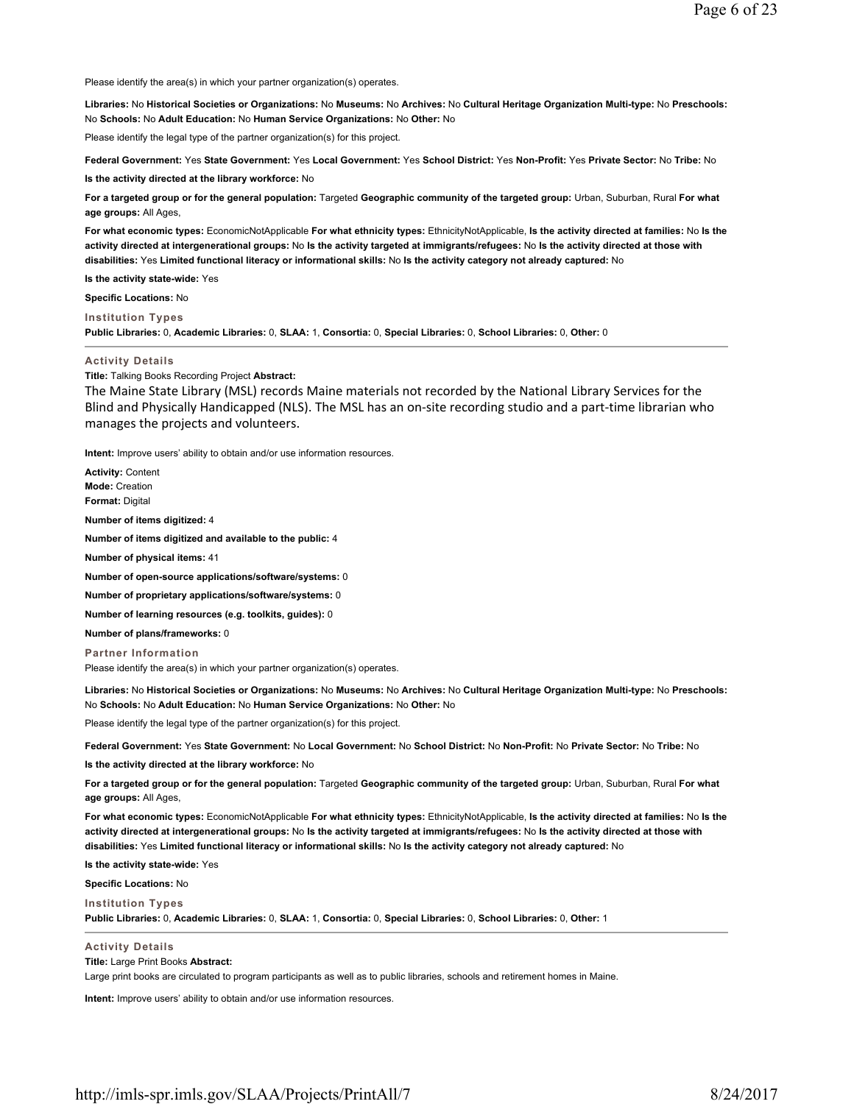Please identify the area(s) in which your partner organization(s) operates.

**Libraries:** No **Historical Societies or Organizations:** No **Museums:** No **Archives:** No **Cultural Heritage Organization Multi-type:** No **Preschools:** No **Schools:** No **Adult Education:** No **Human Service Organizations:** No **Other:** No

Please identify the legal type of the partner organization(s) for this project.

**Federal Government:** Yes **State Government:** Yes **Local Government:** Yes **School District:** Yes **Non-Profit:** Yes **Private Sector:** No **Tribe:** No

**Is the activity directed at the library workforce:** No

**For a targeted group or for the general population:** Targeted **Geographic community of the targeted group:** Urban, Suburban, Rural **For what age groups:** All Ages,

**For what economic types:** EconomicNotApplicable **For what ethnicity types:** EthnicityNotApplicable, **Is the activity directed at families:** No **Is the activity directed at intergenerational groups:** No **Is the activity targeted at immigrants/refugees:** No **Is the activity directed at those with disabilities:** Yes **Limited functional literacy or informational skills:** No **Is the activity category not already captured:** No

**Is the activity state-wide:** Yes

**Specific Locations:** No

**Institution Types Public Libraries:** 0, **Academic Libraries:** 0, **SLAA:** 1, **Consortia:** 0, **Special Libraries:** 0, **School Libraries:** 0, **Other:** 0

#### **Activity Details**

**Title:** Talking Books Recording Project **Abstract:**

The Maine State Library (MSL) records Maine materials not recorded by the National Library Services for the Blind and Physically Handicapped (NLS). The MSL has an on-site recording studio and a part-time librarian who manages the projects and volunteers.

**Intent:** Improve users' ability to obtain and/or use information resources.

**Activity:** Content **Mode:** Creation **Format:** Digital **Number of items digitized:** 4 **Number of items digitized and available to the public:** 4 **Number of physical items:** 41 **Number of open-source applications/software/systems:** 0 **Number of proprietary applications/software/systems:** 0 **Number of learning resources (e.g. toolkits, guides):** 0 **Number of plans/frameworks:** 0

**Partner Information** Please identify the area(s) in which your partner organization(s) operates.

**Libraries:** No **Historical Societies or Organizations:** No **Museums:** No **Archives:** No **Cultural Heritage Organization Multi-type:** No **Preschools:** No **Schools:** No **Adult Education:** No **Human Service Organizations:** No **Other:** No

Please identify the legal type of the partner organization(s) for this project.

**Federal Government:** Yes **State Government:** No **Local Government:** No **School District:** No **Non-Profit:** No **Private Sector:** No **Tribe:** No

**Is the activity directed at the library workforce:** No

For a targeted group or for the general population: Targeted Geographic community of the targeted group: Urban, Suburban, Rural For what **age groups:** All Ages,

**For what economic types:** EconomicNotApplicable **For what ethnicity types:** EthnicityNotApplicable, **Is the activity directed at families:** No **Is the activity directed at intergenerational groups:** No **Is the activity targeted at immigrants/refugees:** No **Is the activity directed at those with disabilities:** Yes **Limited functional literacy or informational skills:** No **Is the activity category not already captured:** No

**Is the activity state-wide:** Yes

**Specific Locations:** No

**Institution Types Public Libraries:** 0, **Academic Libraries:** 0, **SLAA:** 1, **Consortia:** 0, **Special Libraries:** 0, **School Libraries:** 0, **Other:** 1

**Activity Details**

**Title:** Large Print Books **Abstract:**

Large print books are circulated to program participants as well as to public libraries, schools and retirement homes in Maine.

**Intent:** Improve users' ability to obtain and/or use information resources.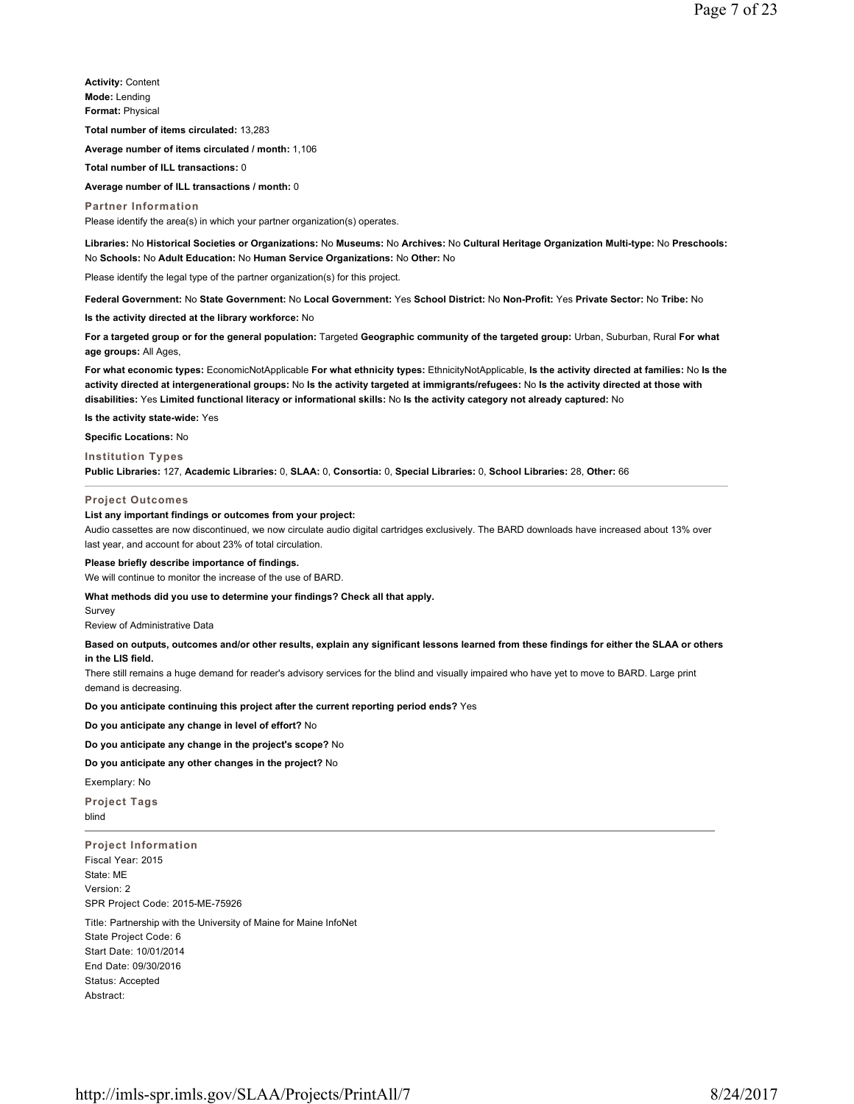**Activity:** Content **Mode:** Lending **Format:** Physical

**Total number of items circulated:** 13,283

**Average number of items circulated / month:** 1,106

**Total number of ILL transactions:** 0

**Average number of ILL transactions / month:** 0

**Partner Information** Please identify the area(s) in which your partner organization(s) operates.

**Libraries:** No **Historical Societies or Organizations:** No **Museums:** No **Archives:** No **Cultural Heritage Organization Multi-type:** No **Preschools:** No **Schools:** No **Adult Education:** No **Human Service Organizations:** No **Other:** No

Please identify the legal type of the partner organization(s) for this project.

**Federal Government:** No **State Government:** No **Local Government:** Yes **School District:** No **Non-Profit:** Yes **Private Sector:** No **Tribe:** No

**Is the activity directed at the library workforce:** No

For a targeted group or for the general population: Targeted Geographic community of the targeted group: Urban, Suburban, Rural For what **age groups:** All Ages,

**For what economic types:** EconomicNotApplicable **For what ethnicity types:** EthnicityNotApplicable, **Is the activity directed at families:** No **Is the activity directed at intergenerational groups:** No **Is the activity targeted at immigrants/refugees:** No **Is the activity directed at those with disabilities:** Yes **Limited functional literacy or informational skills:** No **Is the activity category not already captured:** No

**Is the activity state-wide:** Yes

**Specific Locations:** No **Institution Types**

# **Public Libraries:** 127, **Academic Libraries:** 0, **SLAA:** 0, **Consortia:** 0, **Special Libraries:** 0, **School Libraries:** 28, **Other:** 66

**Project Outcomes**

#### **List any important findings or outcomes from your project:**

Audio cassettes are now discontinued, we now circulate audio digital cartridges exclusively. The BARD downloads have increased about 13% over last year, and account for about 23% of total circulation.

#### **Please briefly describe importance of findings.**

We will continue to monitor the increase of the use of BARD.

**What methods did you use to determine your findings? Check all that apply.**

Survey

Review of Administrative Data

# **Based on outputs, outcomes and/or other results, explain any significant lessons learned from these findings for either the SLAA or others in the LIS field.**

There still remains a huge demand for reader's advisory services for the blind and visually impaired who have yet to move to BARD. Large print demand is decreasing.

**Do you anticipate continuing this project after the current reporting period ends?** Yes

**Do you anticipate any change in level of effort?** No

**Do you anticipate any change in the project's scope?** No

# **Do you anticipate any other changes in the project?** No

Exemplary: No

**Project Tags** blind

**Project Information** Fiscal Year: 2015 State: ME Version: 2 SPR Project Code: 2015-ME-75926

Title: Partnership with the University of Maine for Maine InfoNet State Project Code: 6 Start Date: 10/01/2014 End Date: 09/30/2016 Status: Accepted Abstract: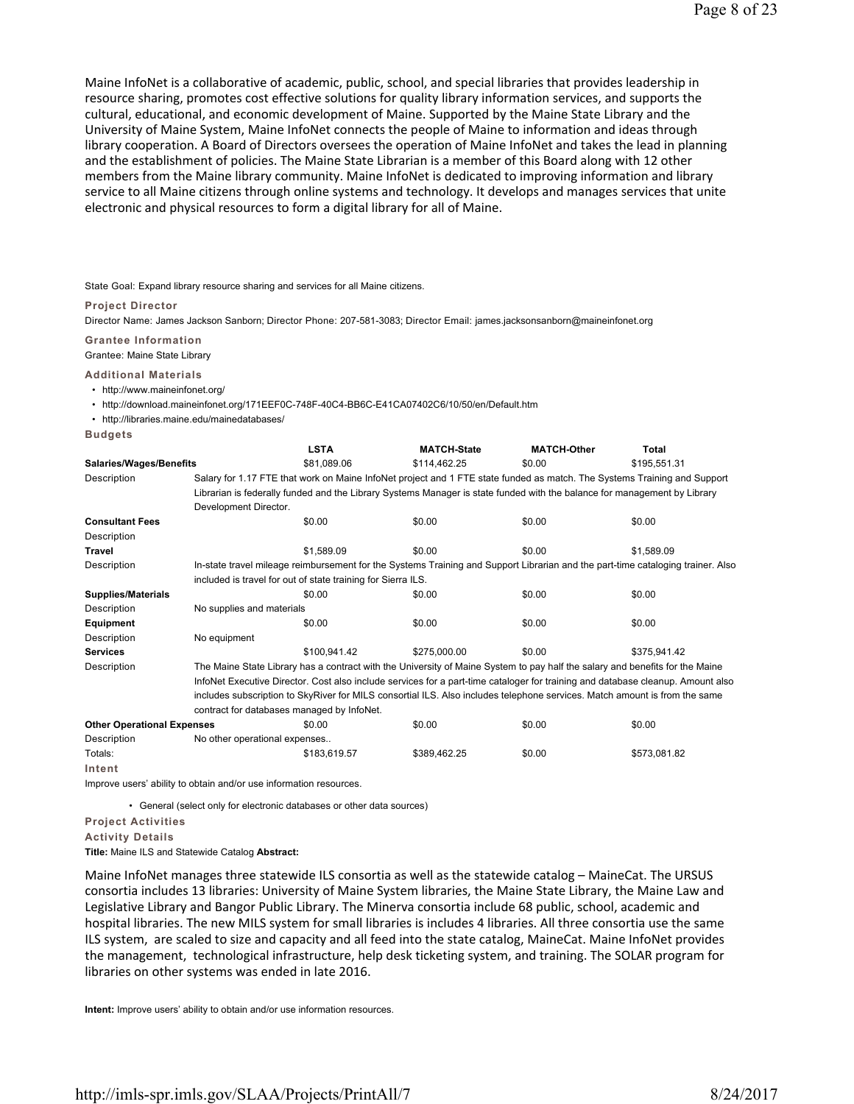Maine InfoNet is a collaborative of academic, public, school, and special libraries that provides leadership in resource sharing, promotes cost effective solutions for quality library information services, and supports the cultural, educational, and economic development of Maine. Supported by the Maine State Library and the University of Maine System, Maine InfoNet connects the people of Maine to information and ideas through library cooperation. A Board of Directors oversees the operation of Maine InfoNet and takes the lead in planning and the establishment of policies. The Maine State Librarian is a member of this Board along with 12 other members from the Maine library community. Maine InfoNet is dedicated to improving information and library service to all Maine citizens through online systems and technology. It develops and manages services that unite electronic and physical resources to form a digital library for all of Maine.

State Goal: Expand library resource sharing and services for all Maine citizens.

**Project Director**

Director Name: James Jackson Sanborn; Director Phone: 207-581-3083; Director Email: james.jacksonsanborn@maineinfonet.org

**Grantee Information**

Grantee: Maine State Library

**Additional Materials**

• http://www.maineinfonet.org/

• http://download.maineinfonet.org/171EEF0C-748F-40C4-BB6C-E41CA07402C6/10/50/en/Default.htm

• http://libraries.maine.edu/mainedatabases/

**Budgets**

|                                   |                                                                                                                                 | <b>LSTA</b>                                                                                                                  | <b>MATCH-State</b> | <b>MATCH-Other</b> | Total        |  |  |  |
|-----------------------------------|---------------------------------------------------------------------------------------------------------------------------------|------------------------------------------------------------------------------------------------------------------------------|--------------------|--------------------|--------------|--|--|--|
| <b>Salaries/Wages/Benefits</b>    |                                                                                                                                 | \$81,089.06                                                                                                                  | \$114,462.25       | \$0.00             | \$195,551.31 |  |  |  |
| Description                       |                                                                                                                                 | Salary for 1.17 FTE that work on Maine InfoNet project and 1 FTE state funded as match. The Systems Training and Support     |                    |                    |              |  |  |  |
|                                   | Librarian is federally funded and the Library Systems Manager is state funded with the balance for management by Library        |                                                                                                                              |                    |                    |              |  |  |  |
|                                   | Development Director.                                                                                                           |                                                                                                                              |                    |                    |              |  |  |  |
| <b>Consultant Fees</b>            |                                                                                                                                 | \$0.00                                                                                                                       | \$0.00             | \$0.00             | \$0.00       |  |  |  |
| Description                       |                                                                                                                                 |                                                                                                                              |                    |                    |              |  |  |  |
| <b>Travel</b>                     |                                                                                                                                 | \$1.589.09                                                                                                                   | \$0.00             | \$0.00             | \$1,589.09   |  |  |  |
| Description                       | In-state travel mileage reimbursement for the Systems Training and Support Librarian and the part-time cataloging trainer. Also |                                                                                                                              |                    |                    |              |  |  |  |
|                                   |                                                                                                                                 | included is travel for out of state training for Sierra ILS.                                                                 |                    |                    |              |  |  |  |
| <b>Supplies/Materials</b>         |                                                                                                                                 | \$0.00                                                                                                                       | \$0.00             | \$0.00             | \$0.00       |  |  |  |
| Description                       | No supplies and materials                                                                                                       |                                                                                                                              |                    |                    |              |  |  |  |
| Equipment                         |                                                                                                                                 | \$0.00                                                                                                                       | \$0.00             | \$0.00             | \$0.00       |  |  |  |
| Description                       | No equipment                                                                                                                    |                                                                                                                              |                    |                    |              |  |  |  |
| <b>Services</b>                   |                                                                                                                                 | \$100.941.42                                                                                                                 | \$275,000.00       | \$0.00             | \$375.941.42 |  |  |  |
| Description                       |                                                                                                                                 | The Maine State Library has a contract with the University of Maine System to pay half the salary and benefits for the Maine |                    |                    |              |  |  |  |
|                                   | InfoNet Executive Director. Cost also include services for a part-time cataloger for training and database cleanup. Amount also |                                                                                                                              |                    |                    |              |  |  |  |
|                                   | includes subscription to SkyRiver for MILS consortial ILS. Also includes telephone services. Match amount is from the same      |                                                                                                                              |                    |                    |              |  |  |  |
|                                   | contract for databases managed by InfoNet.                                                                                      |                                                                                                                              |                    |                    |              |  |  |  |
| <b>Other Operational Expenses</b> |                                                                                                                                 | \$0.00                                                                                                                       | \$0.00             | \$0.00             | \$0.00       |  |  |  |
| Description                       | No other operational expenses                                                                                                   |                                                                                                                              |                    |                    |              |  |  |  |
| Totals:                           |                                                                                                                                 | \$183,619.57                                                                                                                 | \$389,462.25       | \$0.00             | \$573,081.82 |  |  |  |
| Intent                            |                                                                                                                                 |                                                                                                                              |                    |                    |              |  |  |  |

Improve users' ability to obtain and/or use information resources.

• General (select only for electronic databases or other data sources)

**Project Activities**

**Activity Details**

**Title:** Maine ILS and Statewide Catalog **Abstract:**

Maine InfoNet manages three statewide ILS consortia as well as the statewide catalog – MaineCat. The URSUS consortia includes 13 libraries: University of Maine System libraries, the Maine State Library, the Maine Law and Legislative Library and Bangor Public Library. The Minerva consortia include 68 public, school, academic and hospital libraries. The new MILS system for small libraries is includes 4 libraries. All three consortia use the same ILS system, are scaled to size and capacity and all feed into the state catalog, MaineCat. Maine InfoNet provides the management, technological infrastructure, help desk ticketing system, and training. The SOLAR program for libraries on other systems was ended in late 2016.

**Intent:** Improve users' ability to obtain and/or use information resources.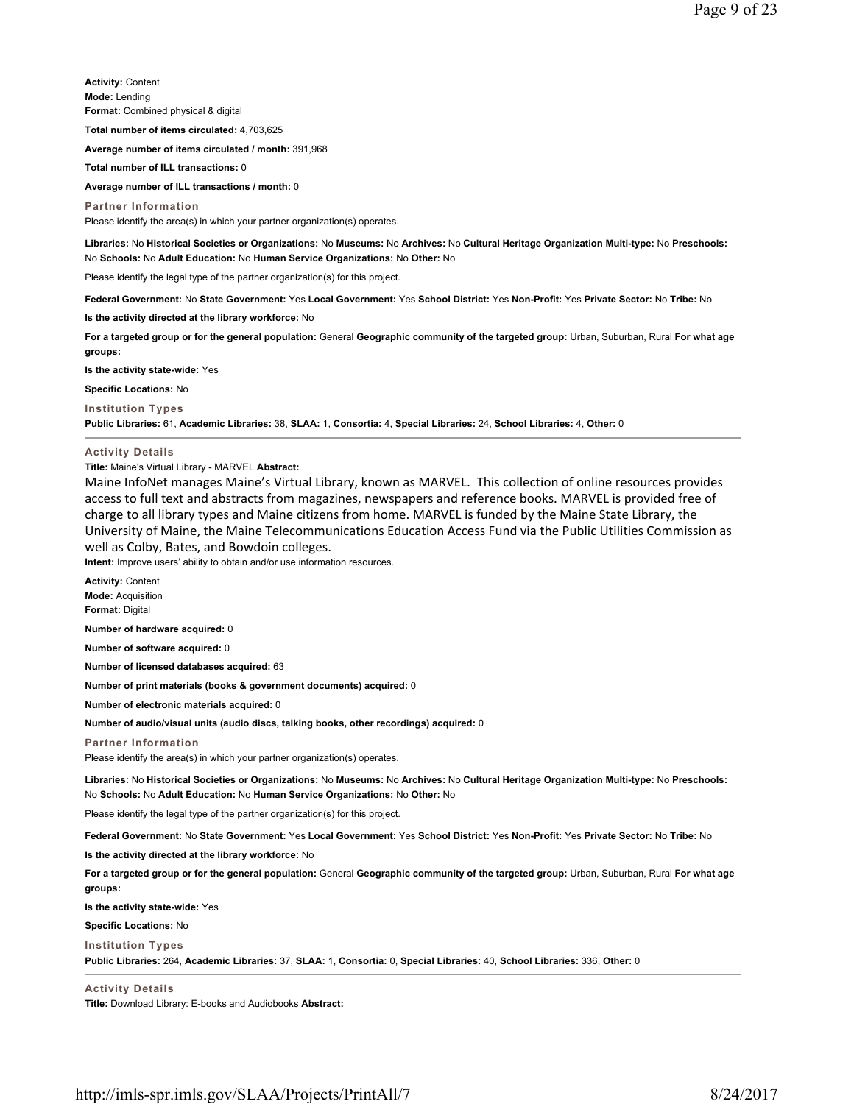**Activity:** Content **Mode:** Lending **Format:** Combined physical & digital

**Total number of items circulated:** 4,703,625

**Average number of items circulated / month:** 391,968

**Total number of ILL transactions:** 0

**Average number of ILL transactions / month:** 0

**Partner Information** Please identify the area(s) in which your partner organization(s) operates.

**Libraries:** No **Historical Societies or Organizations:** No **Museums:** No **Archives:** No **Cultural Heritage Organization Multi-type:** No **Preschools:** No **Schools:** No **Adult Education:** No **Human Service Organizations:** No **Other:** No

Please identify the legal type of the partner organization(s) for this project.

**Federal Government:** No **State Government:** Yes **Local Government:** Yes **School District:** Yes **Non-Profit:** Yes **Private Sector:** No **Tribe:** No

**Is the activity directed at the library workforce:** No

**For a targeted group or for the general population:** General **Geographic community of the targeted group:** Urban, Suburban, Rural **For what age groups:** 

**Is the activity state-wide:** Yes

**Specific Locations:** No

**Institution Types**

**Public Libraries:** 61, **Academic Libraries:** 38, **SLAA:** 1, **Consortia:** 4, **Special Libraries:** 24, **School Libraries:** 4, **Other:** 0

**Activity Details**

**Title:** Maine's Virtual Library - MARVEL **Abstract:**

Maine InfoNet manages Maine's Virtual Library, known as MARVEL. This collection of online resources provides access to full text and abstracts from magazines, newspapers and reference books. MARVEL is provided free of charge to all library types and Maine citizens from home. MARVEL is funded by the Maine State Library, the University of Maine, the Maine Telecommunications Education Access Fund via the Public Utilities Commission as well as Colby, Bates, and Bowdoin colleges.

**Intent:** Improve users' ability to obtain and/or use information resources.

**Activity:** Content **Mode:** Acquisition

**Format:** Digital

**Number of hardware acquired:** 0

**Number of software acquired:** 0

**Number of licensed databases acquired:** 63

**Number of print materials (books & government documents) acquired:** 0

**Number of electronic materials acquired:** 0

**Number of audio/visual units (audio discs, talking books, other recordings) acquired:** 0

#### **Partner Information**

Please identify the area(s) in which your partner organization(s) operates.

**Libraries:** No **Historical Societies or Organizations:** No **Museums:** No **Archives:** No **Cultural Heritage Organization Multi-type:** No **Preschools:** No **Schools:** No **Adult Education:** No **Human Service Organizations:** No **Other:** No

Please identify the legal type of the partner organization(s) for this project.

**Federal Government:** No **State Government:** Yes **Local Government:** Yes **School District:** Yes **Non-Profit:** Yes **Private Sector:** No **Tribe:** No

**Is the activity directed at the library workforce:** No

**For a targeted group or for the general population:** General **Geographic community of the targeted group:** Urban, Suburban, Rural **For what age groups:** 

**Is the activity state-wide:** Yes

**Specific Locations:** No

**Institution Types Public Libraries:** 264, **Academic Libraries:** 37, **SLAA:** 1, **Consortia:** 0, **Special Libraries:** 40, **School Libraries:** 336, **Other:** 0

**Activity Details Title:** Download Library: E-books and Audiobooks **Abstract:**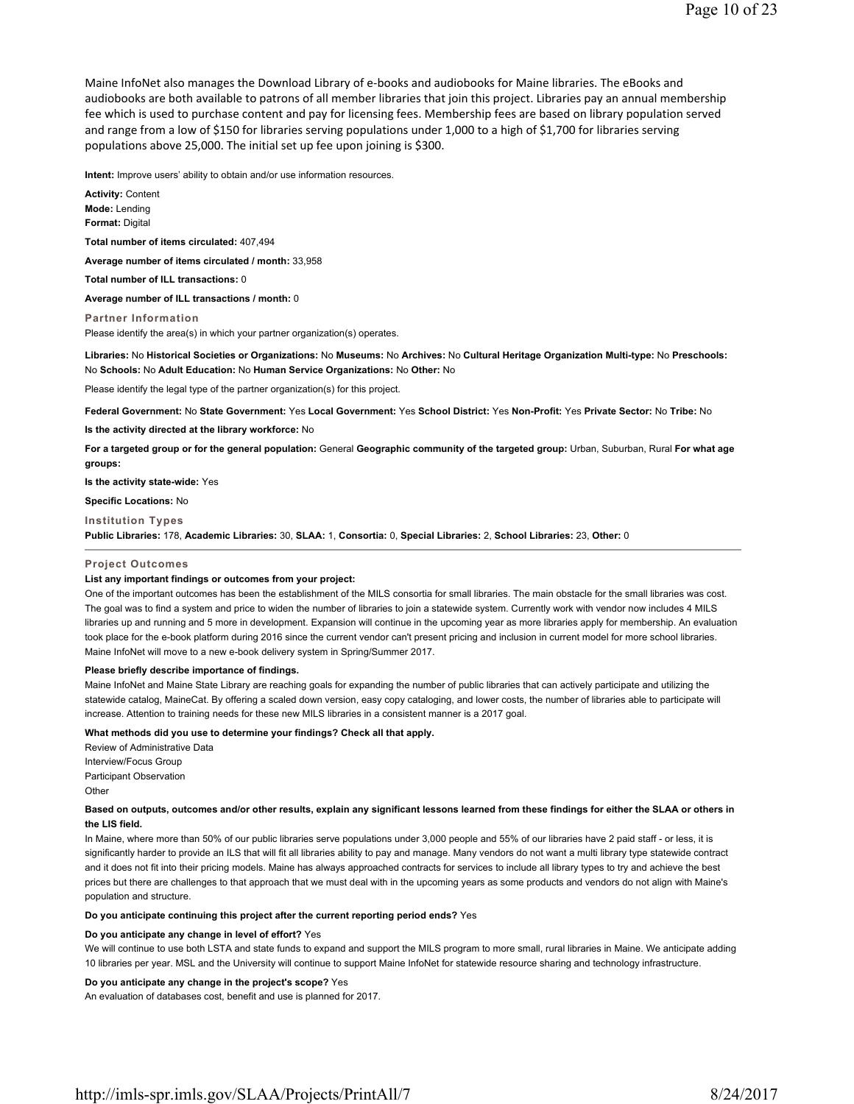Maine InfoNet also manages the Download Library of e-books and audiobooks for Maine libraries. The eBooks and audiobooks are both available to patrons of all member libraries that join this project. Libraries pay an annual membership fee which is used to purchase content and pay for licensing fees. Membership fees are based on library population served and range from a low of \$150 for libraries serving populations under 1,000 to a high of \$1,700 for libraries serving populations above 25,000. The initial set up fee upon joining is \$300.

**Intent:** Improve users' ability to obtain and/or use information resources.

**Activity:** Content **Mode:** Lending **Format:** Digital **Total number of items circulated:** 407,494 **Average number of items circulated / month:** 33,958 **Total number of ILL transactions:** 0 **Average number of ILL transactions / month:** 0 **Partner Information**

Please identify the area(s) in which your partner organization(s) operates.

**Libraries:** No **Historical Societies or Organizations:** No **Museums:** No **Archives:** No **Cultural Heritage Organization Multi-type:** No **Preschools:** No **Schools:** No **Adult Education:** No **Human Service Organizations:** No **Other:** No

Please identify the legal type of the partner organization(s) for this project.

**Federal Government:** No **State Government:** Yes **Local Government:** Yes **School District:** Yes **Non-Profit:** Yes **Private Sector:** No **Tribe:** No

**Is the activity directed at the library workforce:** No

**For a targeted group or for the general population:** General **Geographic community of the targeted group:** Urban, Suburban, Rural **For what age groups:** 

**Is the activity state-wide:** Yes

### **Specific Locations:** No

### **Institution Types**

**Public Libraries:** 178, **Academic Libraries:** 30, **SLAA:** 1, **Consortia:** 0, **Special Libraries:** 2, **School Libraries:** 23, **Other:** 0

#### **Project Outcomes**

#### **List any important findings or outcomes from your project:**

One of the important outcomes has been the establishment of the MILS consortia for small libraries. The main obstacle for the small libraries was cost. The goal was to find a system and price to widen the number of libraries to join a statewide system. Currently work with vendor now includes 4 MILS libraries up and running and 5 more in development. Expansion will continue in the upcoming year as more libraries apply for membership. An evaluation took place for the e-book platform during 2016 since the current vendor can't present pricing and inclusion in current model for more school libraries. Maine InfoNet will move to a new e-book delivery system in Spring/Summer 2017.

#### **Please briefly describe importance of findings.**

Maine InfoNet and Maine State Library are reaching goals for expanding the number of public libraries that can actively participate and utilizing the statewide catalog, MaineCat. By offering a scaled down version, easy copy cataloging, and lower costs, the number of libraries able to participate will increase. Attention to training needs for these new MILS libraries in a consistent manner is a 2017 goal.

## **What methods did you use to determine your findings? Check all that apply.**

Review of Administrative Data Interview/Focus Group Participant Observation **Other** 

### **Based on outputs, outcomes and/or other results, explain any significant lessons learned from these findings for either the SLAA or others in the LIS field.**

In Maine, where more than 50% of our public libraries serve populations under 3,000 people and 55% of our libraries have 2 paid staff - or less, it is significantly harder to provide an ILS that will fit all libraries ability to pay and manage. Many vendors do not want a multi library type statewide contract and it does not fit into their pricing models. Maine has always approached contracts for services to include all library types to try and achieve the best prices but there are challenges to that approach that we must deal with in the upcoming years as some products and vendors do not align with Maine's population and structure.

#### **Do you anticipate continuing this project after the current reporting period ends?** Yes

#### **Do you anticipate any change in level of effort?** Yes

We will continue to use both LSTA and state funds to expand and support the MILS program to more small, rural libraries in Maine. We anticipate adding 10 libraries per year. MSL and the University will continue to support Maine InfoNet for statewide resource sharing and technology infrastructure.

#### **Do you anticipate any change in the project's scope?** Yes

An evaluation of databases cost, benefit and use is planned for 2017.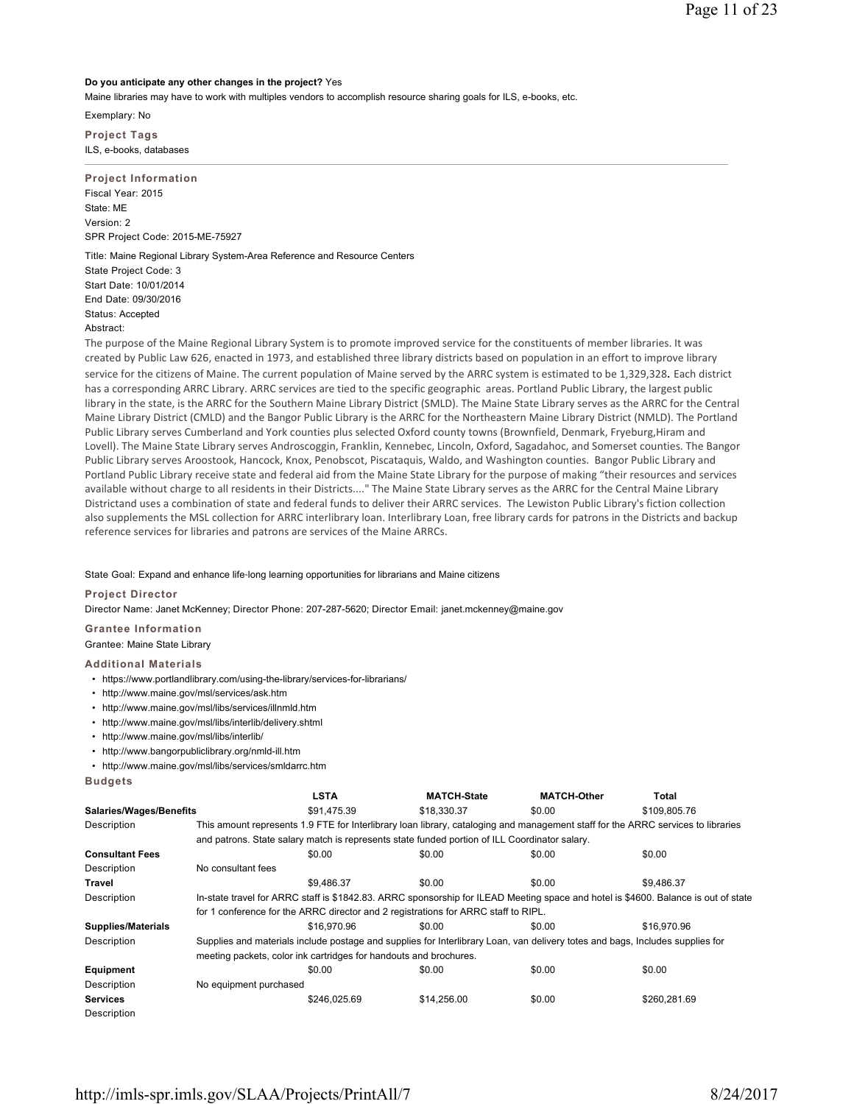# **Do you anticipate any other changes in the project?** Yes

Maine libraries may have to work with multiples vendors to accomplish resource sharing goals for ILS, e-books, etc.

Exemplary: No

**Project Tags** ILS, e-books, databases

**Project Information** Fiscal Year: 2015 State: ME Version: 2 SPR Project Code: 2015-ME-75927

Title: Maine Regional Library System-Area Reference and Resource Centers State Project Code: 3 Start Date: 10/01/2014 End Date: 09/30/2016 Status: Accepted Abstract:

The purpose of the Maine Regional Library System is to promote improved service for the constituents of member libraries. It was created by Public Law 626, enacted in 1973, and established three library districts based on population in an effort to improve library service for the citizens of Maine. The current population of Maine served by the ARRC system is estimated to be 1,329,328. Each district has a corresponding ARRC Library. ARRC services are tied to the specific geographic areas. Portland Public Library, the largest public library in the state, is the ARRC for the Southern Maine Library District (SMLD). The Maine State Library serves as the ARRC for the Central Maine Library District (CMLD) and the Bangor Public Library is the ARRC for the Northeastern Maine Library District (NMLD). The Portland Public Library serves Cumberland and York counties plus selected Oxford county towns (Brownfield, Denmark, Fryeburg,Hiram and Lovell). The Maine State Library serves Androscoggin, Franklin, Kennebec, Lincoln, Oxford, Sagadahoc, and Somerset counties. The Bangor Public Library serves Aroostook, Hancock, Knox, Penobscot, Piscataquis, Waldo, and Washington counties. Bangor Public Library and Portland Public Library receive state and federal aid from the Maine State Library for the purpose of making "their resources and services available without charge to all residents in their Districts...." The Maine State Library serves as the ARRC for the Central Maine Library Districtand uses a combination of state and federal funds to deliver their ARRC services. The Lewiston Public Library's fiction collection also supplements the MSL collection for ARRC interlibrary loan. Interlibrary Loan, free library cards for patrons in the Districts and backup reference services for libraries and patrons are services of the Maine ARRCs.

# State Goal: Expand and enhance life‐long learning opportunities for librarians and Maine citizens

#### **Project Director**

Director Name: Janet McKenney; Director Phone: 207-287-5620; Director Email: janet.mckenney@maine.gov

**Grantee Information**

Grantee: Maine State Library

## **Additional Materials**

- https://www.portlandlibrary.com/using-the-library/services-for-librarians/
- http://www.maine.gov/msl/services/ask.htm
- http://www.maine.gov/msl/libs/services/illnmld.htm
- http://www.maine.gov/msl/libs/interlib/delivery.shtml
- http://www.maine.gov/msl/libs/interlib/
- http://www.bangorpubliclibrary.org/nmld-ill.htm
- http://www.maine.gov/msl/libs/services/smldarrc.htm

**Budgets**

|                           |                                                                                                                                    | LSTA         | <b>MATCH-State</b>                                                                            | <b>MATCH-Other</b>                                                                                                               | Total        |  |  |
|---------------------------|------------------------------------------------------------------------------------------------------------------------------------|--------------|-----------------------------------------------------------------------------------------------|----------------------------------------------------------------------------------------------------------------------------------|--------------|--|--|
| Salaries/Wages/Benefits   |                                                                                                                                    | \$91.475.39  | \$18,330.37                                                                                   | \$0.00                                                                                                                           | \$109,805.76 |  |  |
| Description               |                                                                                                                                    |              |                                                                                               | This amount represents 1.9 FTE for Interlibrary loan library, cataloging and management staff for the ARRC services to libraries |              |  |  |
|                           |                                                                                                                                    |              | and patrons. State salary match is represents state funded portion of ILL Coordinator salary. |                                                                                                                                  |              |  |  |
| <b>Consultant Fees</b>    |                                                                                                                                    | \$0.00       | \$0.00                                                                                        | \$0.00                                                                                                                           | \$0.00       |  |  |
| Description               | No consultant fees                                                                                                                 |              |                                                                                               |                                                                                                                                  |              |  |  |
| Travel                    |                                                                                                                                    | \$9.486.37   | \$0.00                                                                                        | \$0.00                                                                                                                           | \$9.486.37   |  |  |
| Description               | In-state travel for ARRC staff is \$1842.83. ARRC sponsorship for ILEAD Meeting space and hotel is \$4600. Balance is out of state |              |                                                                                               |                                                                                                                                  |              |  |  |
|                           |                                                                                                                                    |              | for 1 conference for the ARRC director and 2 registrations for ARRC staff to RIPL.            |                                                                                                                                  |              |  |  |
| <b>Supplies/Materials</b> |                                                                                                                                    | \$16,970.96  | \$0.00                                                                                        | \$0.00                                                                                                                           | \$16,970.96  |  |  |
| Description               |                                                                                                                                    |              |                                                                                               | Supplies and materials include postage and supplies for Interlibrary Loan, van delivery totes and bags, Includes supplies for    |              |  |  |
|                           | meeting packets, color ink cartridges for handouts and brochures.                                                                  |              |                                                                                               |                                                                                                                                  |              |  |  |
| Equipment                 |                                                                                                                                    | \$0.00       | \$0.00                                                                                        | \$0.00                                                                                                                           | \$0.00       |  |  |
| Description               | No equipment purchased                                                                                                             |              |                                                                                               |                                                                                                                                  |              |  |  |
| <b>Services</b>           |                                                                                                                                    | \$246,025.69 | \$14,256.00                                                                                   | \$0.00                                                                                                                           | \$260.281.69 |  |  |
| Description               |                                                                                                                                    |              |                                                                                               |                                                                                                                                  |              |  |  |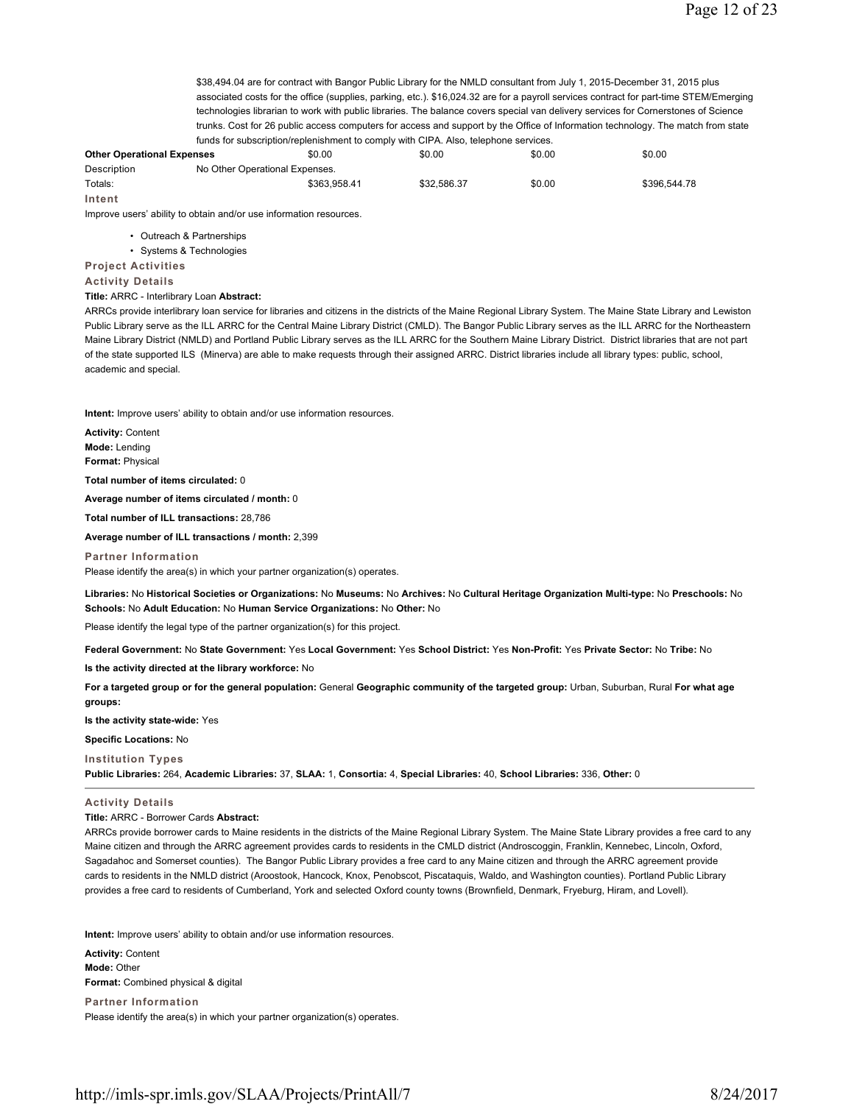\$38,494.04 are for contract with Bangor Public Library for the NMLD consultant from July 1, 2015-December 31, 2015 plus associated costs for the office (supplies, parking, etc.). \$16,024.32 are for a payroll services contract for part-time STEM/Emerging technologies librarian to work with public libraries. The balance covers special van delivery services for Cornerstones of Science trunks. Cost for 26 public access computers for access and support by the Office of Information technology. The match from state funds for subscription/replenishment to comply with CIPA. Also, telephone services.

# **Other Operational Expenses** \$0.00 \$0.00 \$0.00 \$0.00 Description No Other Operational Expenses. Totals: \$363,958.41 \$32,586.37 \$0.00 \$396,544.78 **Intent**

Improve users' ability to obtain and/or use information resources.

- Outreach & Partnerships
- Systems & Technologies

**Project Activities**

#### **Activity Details**

**Title:** ARRC - Interlibrary Loan **Abstract:**

ARRCs provide interlibrary loan service for libraries and citizens in the districts of the Maine Regional Library System. The Maine State Library and Lewiston Public Library serve as the ILL ARRC for the Central Maine Library District (CMLD). The Bangor Public Library serves as the ILL ARRC for the Northeastern Maine Library District (NMLD) and Portland Public Library serves as the ILL ARRC for the Southern Maine Library District. District libraries that are not part of the state supported ILS (Minerva) are able to make requests through their assigned ARRC. District libraries include all library types: public, school, academic and special.

**Intent:** Improve users' ability to obtain and/or use information resources.

**Activity:** Content **Mode:** Lending **Format:** Physical

**Total number of items circulated:** 0

**Average number of items circulated / month:** 0

**Total number of ILL transactions:** 28,786

**Average number of ILL transactions / month:** 2,399

**Partner Information** Please identify the area(s) in which your partner organization(s) operates.

**Libraries:** No **Historical Societies or Organizations:** No **Museums:** No **Archives:** No **Cultural Heritage Organization Multi-type:** No **Preschools:** No **Schools:** No **Adult Education:** No **Human Service Organizations:** No **Other:** No

Please identify the legal type of the partner organization(s) for this project.

**Federal Government:** No **State Government:** Yes **Local Government:** Yes **School District:** Yes **Non-Profit:** Yes **Private Sector:** No **Tribe:** No

**Is the activity directed at the library workforce:** No

**For a targeted group or for the general population:** General **Geographic community of the targeted group:** Urban, Suburban, Rural **For what age groups:** 

**Is the activity state-wide:** Yes

**Specific Locations:** No

**Institution Types Public Libraries:** 264, **Academic Libraries:** 37, **SLAA:** 1, **Consortia:** 4, **Special Libraries:** 40, **School Libraries:** 336, **Other:** 0

## **Activity Details**

**Title:** ARRC - Borrower Cards **Abstract:**

ARRCs provide borrower cards to Maine residents in the districts of the Maine Regional Library System. The Maine State Library provides a free card to any Maine citizen and through the ARRC agreement provides cards to residents in the CMLD district (Androscoggin, Franklin, Kennebec, Lincoln, Oxford, Sagadahoc and Somerset counties). The Bangor Public Library provides a free card to any Maine citizen and through the ARRC agreement provide cards to residents in the NMLD district (Aroostook, Hancock, Knox, Penobscot, Piscataquis, Waldo, and Washington counties). Portland Public Library provides a free card to residents of Cumberland, York and selected Oxford county towns (Brownfield, Denmark, Fryeburg, Hiram, and Lovell).

**Intent:** Improve users' ability to obtain and/or use information resources.

**Activity:** Content **Mode:** Other **Format:** Combined physical & digital

**Partner Information** Please identify the area(s) in which your partner organization(s) operates.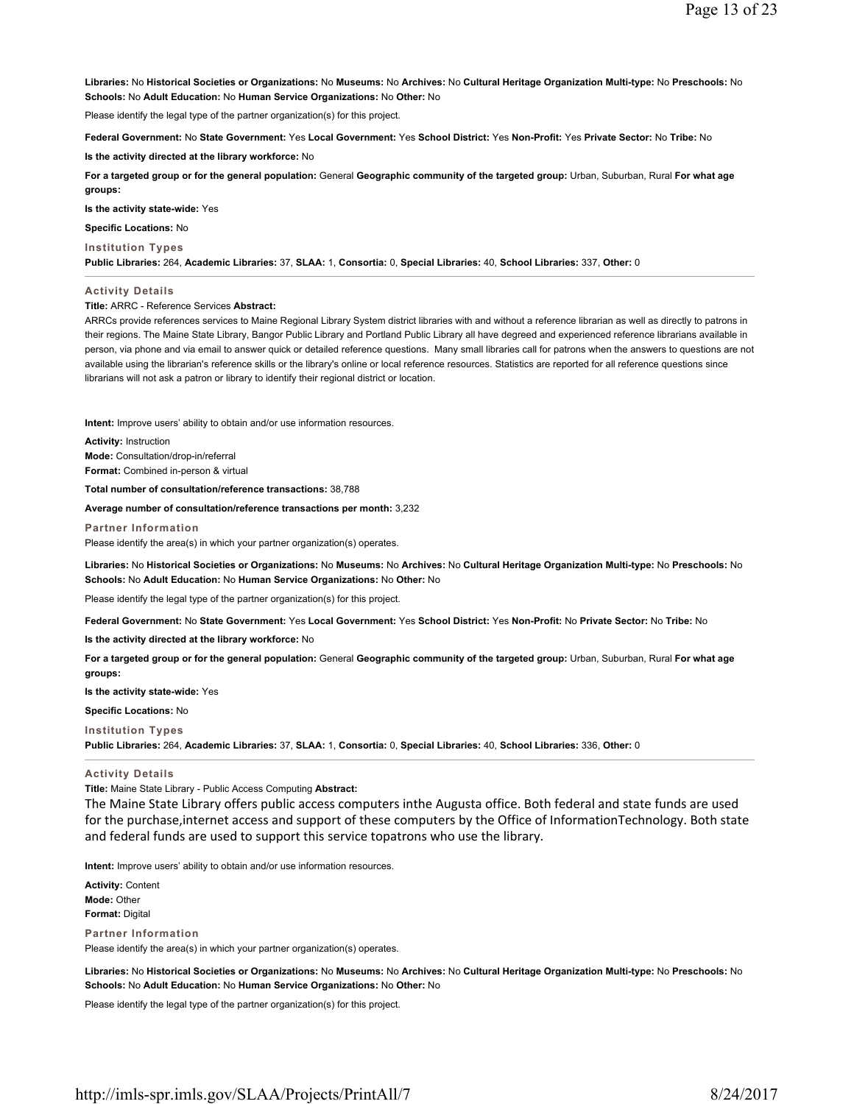**Libraries:** No **Historical Societies or Organizations:** No **Museums:** No **Archives:** No **Cultural Heritage Organization Multi-type:** No **Preschools:** No **Schools:** No **Adult Education:** No **Human Service Organizations:** No **Other:** No

Please identify the legal type of the partner organization(s) for this project.

**Federal Government:** No **State Government:** Yes **Local Government:** Yes **School District:** Yes **Non-Profit:** Yes **Private Sector:** No **Tribe:** No

**Is the activity directed at the library workforce:** No

**For a targeted group or for the general population:** General **Geographic community of the targeted group:** Urban, Suburban, Rural **For what age groups:** 

**Is the activity state-wide:** Yes

**Specific Locations:** No

### **Institution Types**

**Public Libraries:** 264, **Academic Libraries:** 37, **SLAA:** 1, **Consortia:** 0, **Special Libraries:** 40, **School Libraries:** 337, **Other:** 0

## **Activity Details**

### **Title:** ARRC - Reference Services **Abstract:**

ARRCs provide references services to Maine Regional Library System district libraries with and without a reference librarian as well as directly to patrons in their regions. The Maine State Library, Bangor Public Library and Portland Public Library all have degreed and experienced reference librarians available in person, via phone and via email to answer quick or detailed reference questions. Many small libraries call for patrons when the answers to questions are not available using the librarian's reference skills or the library's online or local reference resources. Statistics are reported for all reference questions since librarians will not ask a patron or library to identify their regional district or location.

**Intent:** Improve users' ability to obtain and/or use information resources.

**Activity:** Instruction **Mode:** Consultation/drop-in/referral **Format:** Combined in-person & virtual

**Total number of consultation/reference transactions:** 38,788

**Average number of consultation/reference transactions per month:** 3,232

**Partner Information**

Please identify the area(s) in which your partner organization(s) operates.

**Libraries:** No **Historical Societies or Organizations:** No **Museums:** No **Archives:** No **Cultural Heritage Organization Multi-type:** No **Preschools:** No **Schools:** No **Adult Education:** No **Human Service Organizations:** No **Other:** No

Please identify the legal type of the partner organization(s) for this project.

**Federal Government:** No **State Government:** Yes **Local Government:** Yes **School District:** Yes **Non-Profit:** No **Private Sector:** No **Tribe:** No

**Is the activity directed at the library workforce:** No

**For a targeted group or for the general population:** General **Geographic community of the targeted group:** Urban, Suburban, Rural **For what age groups:** 

**Is the activity state-wide:** Yes

**Specific Locations:** No

**Institution Types Public Libraries:** 264, **Academic Libraries:** 37, **SLAA:** 1, **Consortia:** 0, **Special Libraries:** 40, **School Libraries:** 336, **Other:** 0

### **Activity Details**

**Title:** Maine State Library - Public Access Computing **Abstract:**

The Maine State Library offers public access computers inthe Augusta office. Both federal and state funds are used for the purchase,internet access and support of these computers by the Office of InformationTechnology. Both state and federal funds are used to support this service topatrons who use the library.

**Intent:** Improve users' ability to obtain and/or use information resources.

**Activity:** Content **Mode:** Other **Format:** Digital

**Partner Information**

Please identify the area(s) in which your partner organization(s) operates.

**Libraries:** No **Historical Societies or Organizations:** No **Museums:** No **Archives:** No **Cultural Heritage Organization Multi-type:** No **Preschools:** No **Schools:** No **Adult Education:** No **Human Service Organizations:** No **Other:** No

Please identify the legal type of the partner organization(s) for this project.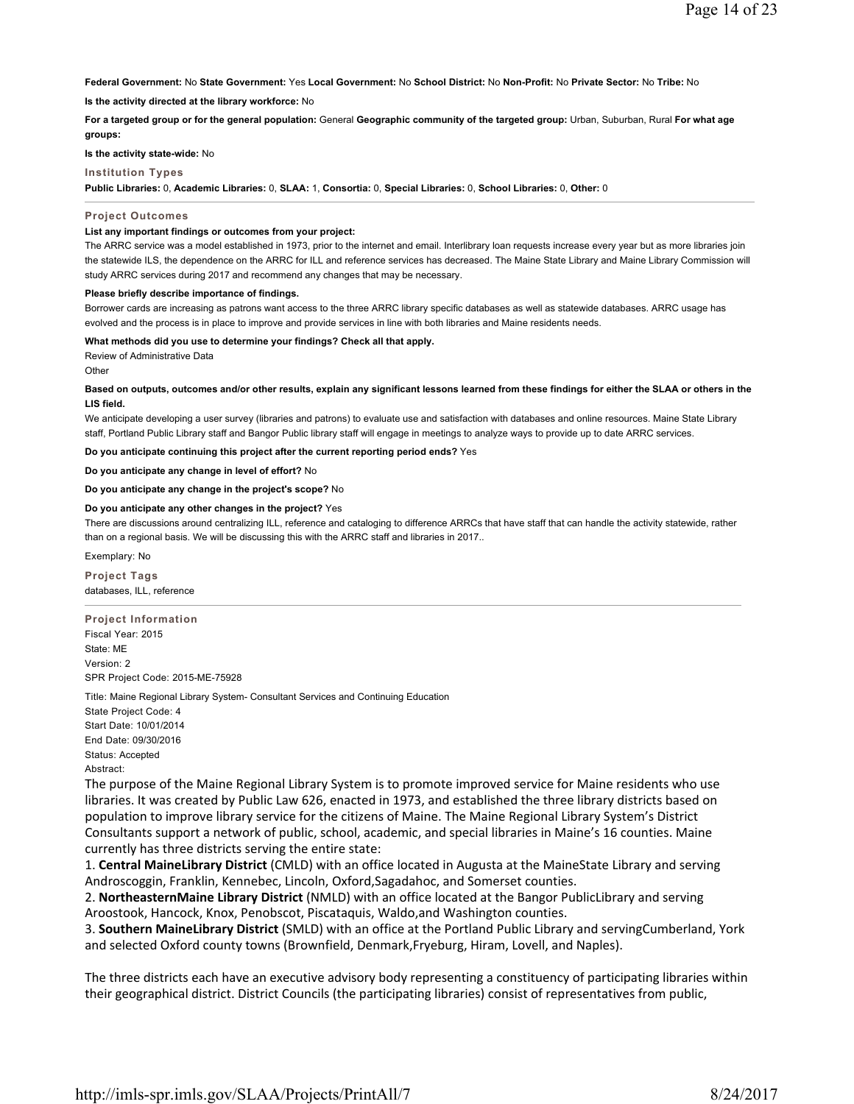**Federal Government:** No **State Government:** Yes **Local Government:** No **School District:** No **Non-Profit:** No **Private Sector:** No **Tribe:** No

**Is the activity directed at the library workforce:** No

**For a targeted group or for the general population:** General **Geographic community of the targeted group:** Urban, Suburban, Rural **For what age groups:** 

**Is the activity state-wide:** No

# **Institution Types**

**Public Libraries:** 0, **Academic Libraries:** 0, **SLAA:** 1, **Consortia:** 0, **Special Libraries:** 0, **School Libraries:** 0, **Other:** 0

### **Project Outcomes**

### **List any important findings or outcomes from your project:**

The ARRC service was a model established in 1973, prior to the internet and email. Interlibrary loan requests increase every year but as more libraries join the statewide ILS, the dependence on the ARRC for ILL and reference services has decreased. The Maine State Library and Maine Library Commission will study ARRC services during 2017 and recommend any changes that may be necessary.

# **Please briefly describe importance of findings.**

Borrower cards are increasing as patrons want access to the three ARRC library specific databases as well as statewide databases. ARRC usage has evolved and the process is in place to improve and provide services in line with both libraries and Maine residents needs.

**What methods did you use to determine your findings? Check all that apply.**

Review of Administrative Data

**Other** 

### **Based on outputs, outcomes and/or other results, explain any significant lessons learned from these findings for either the SLAA or others in the LIS field.**

We anticipate developing a user survey (libraries and patrons) to evaluate use and satisfaction with databases and online resources. Maine State Library staff, Portland Public Library staff and Bangor Public library staff will engage in meetings to analyze ways to provide up to date ARRC services.

**Do you anticipate continuing this project after the current reporting period ends?** Yes

**Do you anticipate any change in level of effort?** No

# **Do you anticipate any change in the project's scope?** No

#### **Do you anticipate any other changes in the project?** Yes

There are discussions around centralizing ILL, reference and cataloging to difference ARRCs that have staff that can handle the activity statewide, rather than on a regional basis. We will be discussing this with the ARRC staff and libraries in 2017..

Exemplary: No

**Project Tags** databases, ILL, reference

**Project Information** Fiscal Year: 2015 State: ME Version: 2 SPR Project Code: 2015-ME-75928

Title: Maine Regional Library System- Consultant Services and Continuing Education State Project Code: 4 Start Date: 10/01/2014 End Date: 09/30/2016 Status: Accepted Abstract:

The purpose of the Maine Regional Library System is to promote improved service for Maine residents who use libraries. It was created by Public Law 626, enacted in 1973, and established the three library districts based on population to improve library service for the citizens of Maine. The Maine Regional Library System's District Consultants support a network of public, school, academic, and special libraries in Maine's 16 counties. Maine currently has three districts serving the entire state:

1. **Central MaineLibrary District** (CMLD) with an office located in Augusta at the MaineState Library and serving Androscoggin, Franklin, Kennebec, Lincoln, Oxford,Sagadahoc, and Somerset counties.

2. **NortheasternMaine Library District** (NMLD) with an office located at the Bangor PublicLibrary and serving Aroostook, Hancock, Knox, Penobscot, Piscataquis, Waldo,and Washington counties.

3. **Southern MaineLibrary District** (SMLD) with an office at the Portland Public Library and servingCumberland, York and selected Oxford county towns (Brownfield, Denmark,Fryeburg, Hiram, Lovell, and Naples).

The three districts each have an executive advisory body representing a constituency of participating libraries within their geographical district. District Councils (the participating libraries) consist of representatives from public,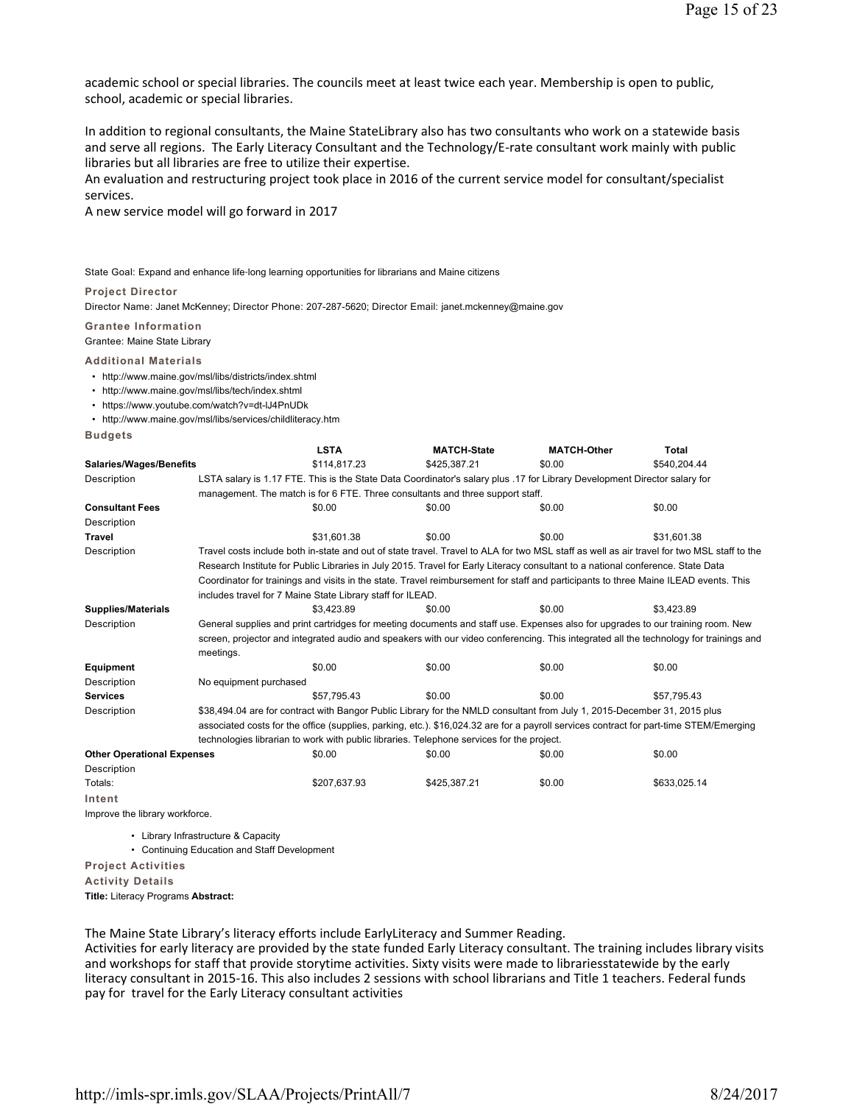academic school or special libraries. The councils meet at least twice each year. Membership is open to public, school, academic or special libraries.

In addition to regional consultants, the Maine StateLibrary also has two consultants who work on a statewide basis and serve all regions. The Early Literacy Consultant and the Technology/E-rate consultant work mainly with public libraries but all libraries are free to utilize their expertise.

An evaluation and restructuring project took place in 2016 of the current service model for consultant/specialist services.

A new service model will go forward in 2017

State Goal: Expand and enhance life‐long learning opportunities for librarians and Maine citizens

#### **Project Director**

Director Name: Janet McKenney; Director Phone: 207-287-5620; Director Email: janet.mckenney@maine.gov

**Grantee Information**

Grantee: Maine State Library

**Additional Materials**

- http://www.maine.gov/msl/libs/districts/index.shtml
- http://www.maine.gov/msl/libs/tech/index.shtml
- https://www.youtube.com/watch?v=dt-lJ4PnUDk
- http://www.maine.gov/msl/libs/services/childliteracy.htm

**Budgets**

|                                   |                                                                                                                                        | <b>LSTA</b>  | <b>MATCH-State</b> | <b>MATCH-Other</b>                                                                                                                         | <b>Total</b> |  |  |
|-----------------------------------|----------------------------------------------------------------------------------------------------------------------------------------|--------------|--------------------|--------------------------------------------------------------------------------------------------------------------------------------------|--------------|--|--|
| Salaries/Wages/Benefits           |                                                                                                                                        | \$114.817.23 | \$425.387.21       | \$0.00                                                                                                                                     | \$540.204.44 |  |  |
| Description                       | LSTA salary is 1.17 FTE. This is the State Data Coordinator's salary plus .17 for Library Development Director salary for              |              |                    |                                                                                                                                            |              |  |  |
|                                   | management. The match is for 6 FTE. Three consultants and three support staff.                                                         |              |                    |                                                                                                                                            |              |  |  |
| <b>Consultant Fees</b>            |                                                                                                                                        | \$0.00       | \$0.00             | \$0.00                                                                                                                                     | \$0.00       |  |  |
| Description                       |                                                                                                                                        |              |                    |                                                                                                                                            |              |  |  |
| <b>Travel</b>                     |                                                                                                                                        | \$31.601.38  | \$0.00             | \$0.00                                                                                                                                     | \$31.601.38  |  |  |
| Description                       |                                                                                                                                        |              |                    | Travel costs include both in-state and out of state travel. Travel to ALA for two MSL staff as well as air travel for two MSL staff to the |              |  |  |
|                                   |                                                                                                                                        |              |                    | Research Institute for Public Libraries in July 2015. Travel for Early Literacy consultant to a national conference. State Data            |              |  |  |
|                                   |                                                                                                                                        |              |                    | Coordinator for trainings and visits in the state. Travel reimbursement for staff and participants to three Maine ILEAD events. This       |              |  |  |
|                                   | includes travel for 7 Maine State Library staff for ILEAD.                                                                             |              |                    |                                                                                                                                            |              |  |  |
| <b>Supplies/Materials</b>         |                                                                                                                                        | \$3.423.89   | \$0.00             | \$0.00                                                                                                                                     | \$3.423.89   |  |  |
| Description                       | General supplies and print cartridges for meeting documents and staff use. Expenses also for upgrades to our training room. New        |              |                    |                                                                                                                                            |              |  |  |
|                                   | screen, projector and integrated audio and speakers with our video conferencing. This integrated all the technology for trainings and  |              |                    |                                                                                                                                            |              |  |  |
|                                   | meetings.                                                                                                                              |              |                    |                                                                                                                                            |              |  |  |
| <b>Equipment</b>                  |                                                                                                                                        | \$0.00       | \$0.00             | \$0.00                                                                                                                                     | \$0.00       |  |  |
| Description                       | No equipment purchased                                                                                                                 |              |                    |                                                                                                                                            |              |  |  |
| <b>Services</b>                   |                                                                                                                                        | \$57.795.43  | \$0.00             | \$0.00                                                                                                                                     | \$57.795.43  |  |  |
| Description                       | \$38,494.04 are for contract with Bangor Public Library for the NMLD consultant from July 1, 2015-December 31, 2015 plus               |              |                    |                                                                                                                                            |              |  |  |
|                                   | associated costs for the office (supplies, parking, etc.). \$16,024.32 are for a payroll services contract for part-time STEM/Emerging |              |                    |                                                                                                                                            |              |  |  |
|                                   | technologies librarian to work with public libraries. Telephone services for the project.                                              |              |                    |                                                                                                                                            |              |  |  |
| <b>Other Operational Expenses</b> |                                                                                                                                        | \$0.00       | \$0.00             | \$0.00                                                                                                                                     | \$0.00       |  |  |
| Description                       |                                                                                                                                        |              |                    |                                                                                                                                            |              |  |  |
| Totals:                           |                                                                                                                                        | \$207,637.93 | \$425,387.21       | \$0.00                                                                                                                                     | \$633,025.14 |  |  |
| Intent                            |                                                                                                                                        |              |                    |                                                                                                                                            |              |  |  |
| Improve the library workforce.    |                                                                                                                                        |              |                    |                                                                                                                                            |              |  |  |
|                                   |                                                                                                                                        |              |                    |                                                                                                                                            |              |  |  |

• Library Infrastructure & Capacity

• Continuing Education and Staff Development

**Project Activities**

**Activity Details**

**Title:** Literacy Programs **Abstract:**

The Maine State Library's literacy efforts include EarlyLiteracy and Summer Reading.

Activities for early literacy are provided by the state funded Early Literacy consultant. The training includes library visits and workshops for staff that provide storytime activities. Sixty visits were made to librariesstatewide by the early literacy consultant in 2015-16. This also includes 2 sessions with school librarians and Title 1 teachers. Federal funds pay for travel for the Early Literacy consultant activities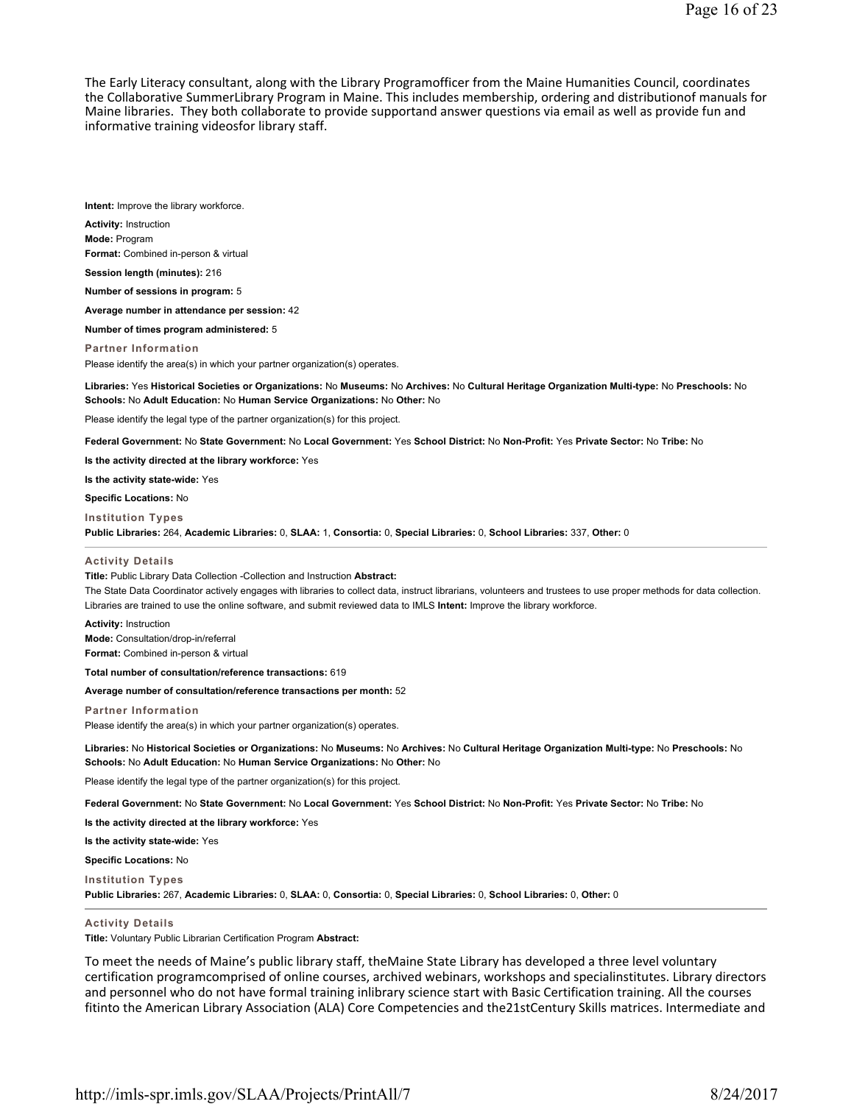The Early Literacy consultant, along with the Library Programofficer from the Maine Humanities Council, coordinates the Collaborative SummerLibrary Program in Maine. This includes membership, ordering and distributionof manuals for Maine libraries. They both collaborate to provide supportand answer questions via email as well as provide fun and informative training videosfor library staff.

**Intent:** Improve the library workforce.

**Activity:** Instruction **Mode:** Program

**Format:** Combined in-person & virtual

**Session length (minutes):** 216

**Number of sessions in program:** 5

**Average number in attendance per session:** 42

**Number of times program administered:** 5

**Partner Information** Please identify the area(s) in which your partner organization(s) operates.

**Libraries:** Yes **Historical Societies or Organizations:** No **Museums:** No **Archives:** No **Cultural Heritage Organization Multi-type:** No **Preschools:** No **Schools:** No **Adult Education:** No **Human Service Organizations:** No **Other:** No

Please identify the legal type of the partner organization(s) for this project.

**Federal Government:** No **State Government:** No **Local Government:** Yes **School District:** No **Non-Profit:** Yes **Private Sector:** No **Tribe:** No

**Is the activity directed at the library workforce:** Yes

**Is the activity state-wide:** Yes

**Specific Locations:** No

**Institution Types**

**Public Libraries:** 264, **Academic Libraries:** 0, **SLAA:** 1, **Consortia:** 0, **Special Libraries:** 0, **School Libraries:** 337, **Other:** 0

#### **Activity Details**

**Title:** Public Library Data Collection -Collection and Instruction **Abstract:**

The State Data Coordinator actively engages with libraries to collect data, instruct librarians, volunteers and trustees to use proper methods for data collection. Libraries are trained to use the online software, and submit reviewed data to IMLS **Intent:** Improve the library workforce.

**Activity:** Instruction **Mode:** Consultation/drop-in/referral **Format:** Combined in-person & virtual

**Total number of consultation/reference transactions:** 619

**Average number of consultation/reference transactions per month:** 52

**Partner Information**

Please identify the area(s) in which your partner organization(s) operates.

**Libraries:** No **Historical Societies or Organizations:** No **Museums:** No **Archives:** No **Cultural Heritage Organization Multi-type:** No **Preschools:** No **Schools:** No **Adult Education:** No **Human Service Organizations:** No **Other:** No

Please identify the legal type of the partner organization(s) for this project.

**Federal Government:** No **State Government:** No **Local Government:** Yes **School District:** No **Non-Profit:** Yes **Private Sector:** No **Tribe:** No

**Is the activity directed at the library workforce:** Yes

**Is the activity state-wide:** Yes

**Specific Locations:** No

**Institution Types**

**Public Libraries:** 267, **Academic Libraries:** 0, **SLAA:** 0, **Consortia:** 0, **Special Libraries:** 0, **School Libraries:** 0, **Other:** 0

#### **Activity Details**

**Title:** Voluntary Public Librarian Certification Program **Abstract:**

To meet the needs of Maine's public library staff, theMaine State Library has developed a three level voluntary certification programcomprised of online courses, archived webinars, workshops and specialinstitutes. Library directors and personnel who do not have formal training inlibrary science start with Basic Certification training. All the courses fitinto the American Library Association (ALA) Core Competencies and the21stCentury Skills matrices. Intermediate and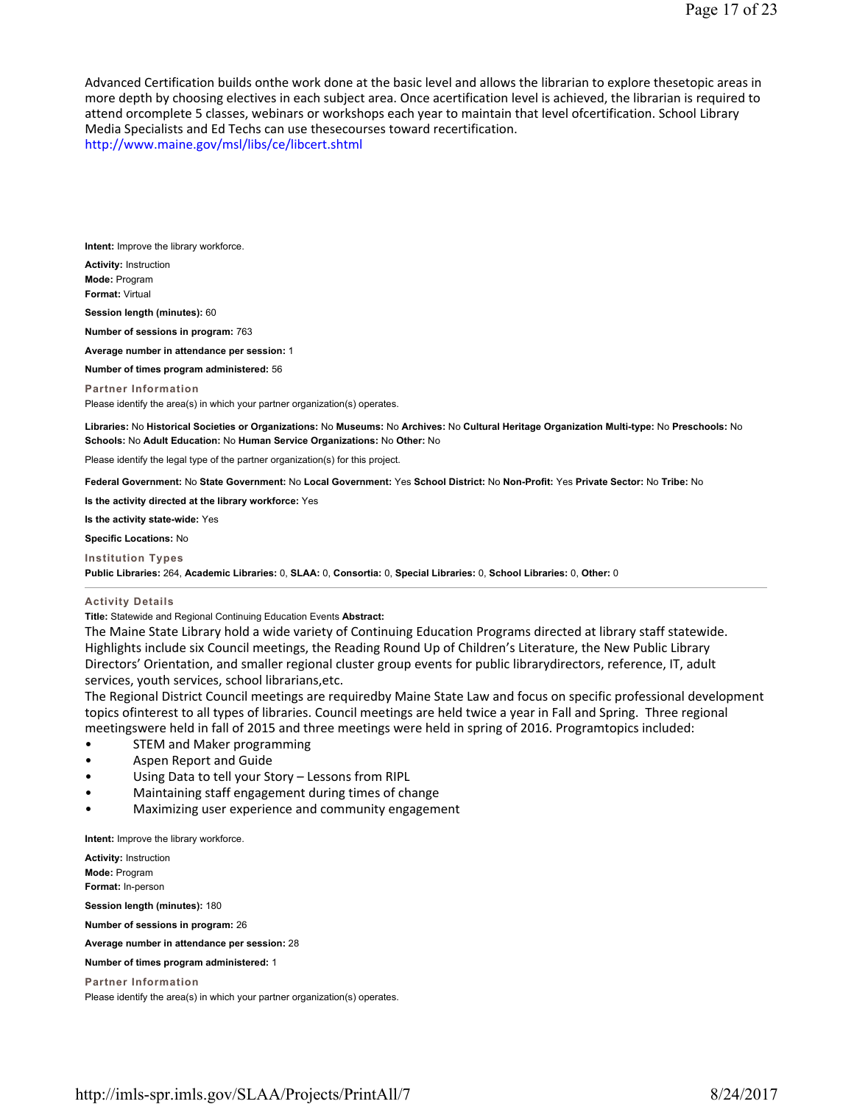Advanced Certification builds onthe work done at the basic level and allows the librarian to explore thesetopic areas in more depth by choosing electives in each subject area. Once acertification level is achieved, the librarian is required to attend orcomplete 5 classes, webinars or workshops each year to maintain that level ofcertification. School Library Media Specialists and Ed Techs can use thesecourses toward recertification.

http://www.maine.gov/msl/libs/ce/libcert.shtml

**Intent:** Improve the library workforce.

**Activity:** Instruction **Mode:** Program **Format:** Virtual

**Session length (minutes):** 60

**Number of sessions in program:** 763

**Average number in attendance per session:** 1

**Number of times program administered:** 56

**Partner Information** Please identify the area(s) in which your partner organization(s) operates.

**Libraries:** No **Historical Societies or Organizations:** No **Museums:** No **Archives:** No **Cultural Heritage Organization Multi-type:** No **Preschools:** No **Schools:** No **Adult Education:** No **Human Service Organizations:** No **Other:** No

Please identify the legal type of the partner organization(s) for this project.

**Federal Government:** No **State Government:** No **Local Government:** Yes **School District:** No **Non-Profit:** Yes **Private Sector:** No **Tribe:** No

**Is the activity directed at the library workforce:** Yes

**Is the activity state-wide:** Yes

**Specific Locations:** No

**Institution Types**

**Public Libraries:** 264, **Academic Libraries:** 0, **SLAA:** 0, **Consortia:** 0, **Special Libraries:** 0, **School Libraries:** 0, **Other:** 0

# **Activity Details**

**Title:** Statewide and Regional Continuing Education Events **Abstract:**

The Maine State Library hold a wide variety of Continuing Education Programs directed at library staff statewide. Highlights include six Council meetings, the Reading Round Up of Children's Literature, the New Public Library Directors' Orientation, and smaller regional cluster group events for public librarydirectors, reference, IT, adult services, youth services, school librarians,etc.

The Regional District Council meetings are requiredby Maine State Law and focus on specific professional development topics ofinterest to all types of libraries. Council meetings are held twice a year in Fall and Spring. Three regional meetingswere held in fall of 2015 and three meetings were held in spring of 2016. Programtopics included:

- STEM and Maker programming
- Aspen Report and Guide
- Using Data to tell your Story Lessons from RIPL
- Maintaining staff engagement during times of change
- Maximizing user experience and community engagement

**Intent:** Improve the library workforce.

**Activity:** Instruction **Mode:** Program **Format:** In-person

**Session length (minutes):** 180

**Number of sessions in program:** 26

**Average number in attendance per session:** 28

**Number of times program administered:** 1

**Partner Information**

Please identify the area(s) in which your partner organization(s) operates.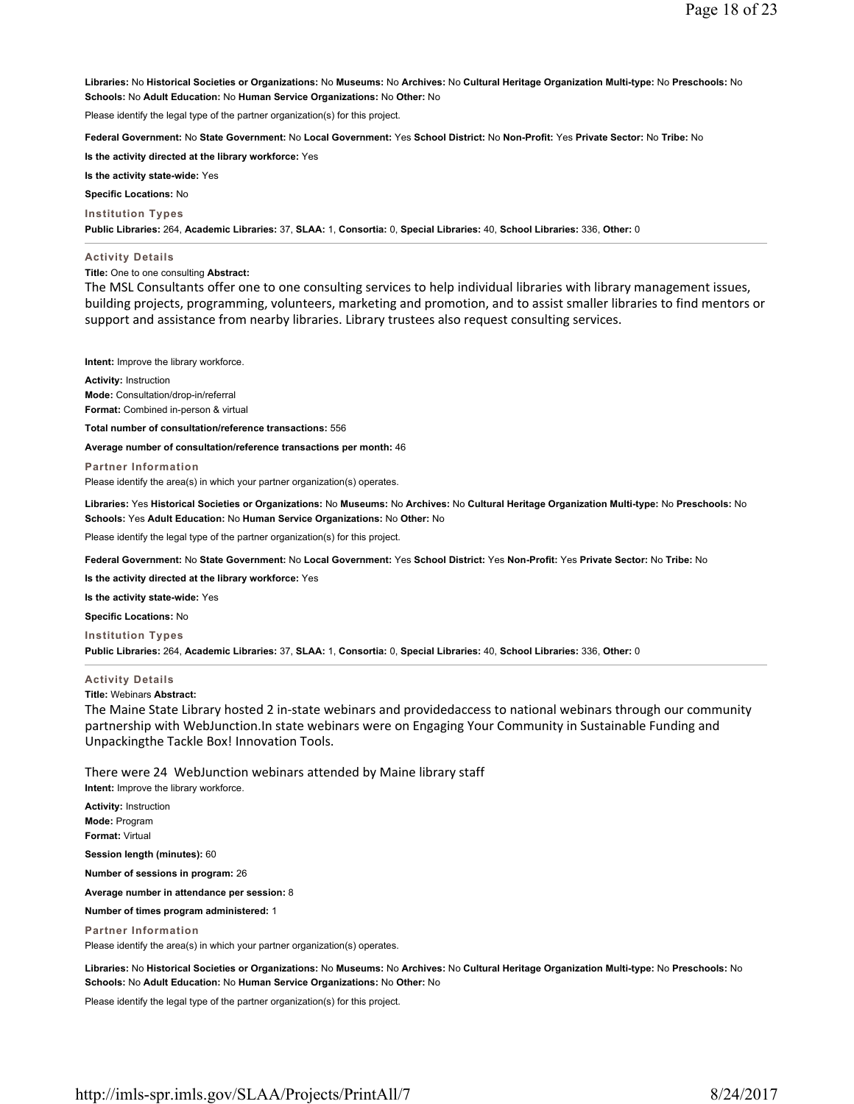**Libraries:** No **Historical Societies or Organizations:** No **Museums:** No **Archives:** No **Cultural Heritage Organization Multi-type:** No **Preschools:** No **Schools:** No **Adult Education:** No **Human Service Organizations:** No **Other:** No

Please identify the legal type of the partner organization(s) for this project.

**Federal Government:** No **State Government:** No **Local Government:** Yes **School District:** No **Non-Profit:** Yes **Private Sector:** No **Tribe:** No

**Is the activity directed at the library workforce:** Yes

**Is the activity state-wide:** Yes

**Specific Locations:** No

**Institution Types**

**Public Libraries:** 264, **Academic Libraries:** 37, **SLAA:** 1, **Consortia:** 0, **Special Libraries:** 40, **School Libraries:** 336, **Other:** 0

#### **Activity Details**

**Title:** One to one consulting **Abstract:**

The MSL Consultants offer one to one consulting services to help individual libraries with library management issues, building projects, programming, volunteers, marketing and promotion, and to assist smaller libraries to find mentors or support and assistance from nearby libraries. Library trustees also request consulting services.

**Intent:** Improve the library workforce.

**Activity:** Instruction **Mode:** Consultation/drop-in/referral **Format:** Combined in-person & virtual

**Total number of consultation/reference transactions:** 556

**Average number of consultation/reference transactions per month:** 46

**Partner Information** Please identify the area(s) in which your partner organization(s) operates.

**Libraries:** Yes **Historical Societies or Organizations:** No **Museums:** No **Archives:** No **Cultural Heritage Organization Multi-type:** No **Preschools:** No **Schools:** Yes **Adult Education:** No **Human Service Organizations:** No **Other:** No

Please identify the legal type of the partner organization(s) for this project.

**Federal Government:** No **State Government:** No **Local Government:** Yes **School District:** Yes **Non-Profit:** Yes **Private Sector:** No **Tribe:** No

**Is the activity directed at the library workforce:** Yes

**Is the activity state-wide:** Yes

**Specific Locations:** No

**Institution Types**

**Public Libraries:** 264, **Academic Libraries:** 37, **SLAA:** 1, **Consortia:** 0, **Special Libraries:** 40, **School Libraries:** 336, **Other:** 0

## **Activity Details**

**Title:** Webinars **Abstract:**

The Maine State Library hosted 2 in-state webinars and providedaccess to national webinars through our community partnership with WebJunction.In state webinars were on Engaging Your Community in Sustainable Funding and Unpackingthe Tackle Box! Innovation Tools.

There were 24 WebJunction webinars attended by Maine library staff

**Intent:** Improve the library workforce.

**Activity:** Instruction **Mode:** Program **Format:** Virtual

**Session length (minutes):** 60

**Number of sessions in program:** 26

**Average number in attendance per session:** 8

**Number of times program administered:** 1

**Partner Information**

Please identify the area(s) in which your partner organization(s) operates.

**Libraries:** No **Historical Societies or Organizations:** No **Museums:** No **Archives:** No **Cultural Heritage Organization Multi-type:** No **Preschools:** No **Schools:** No **Adult Education:** No **Human Service Organizations:** No **Other:** No

Please identify the legal type of the partner organization(s) for this project.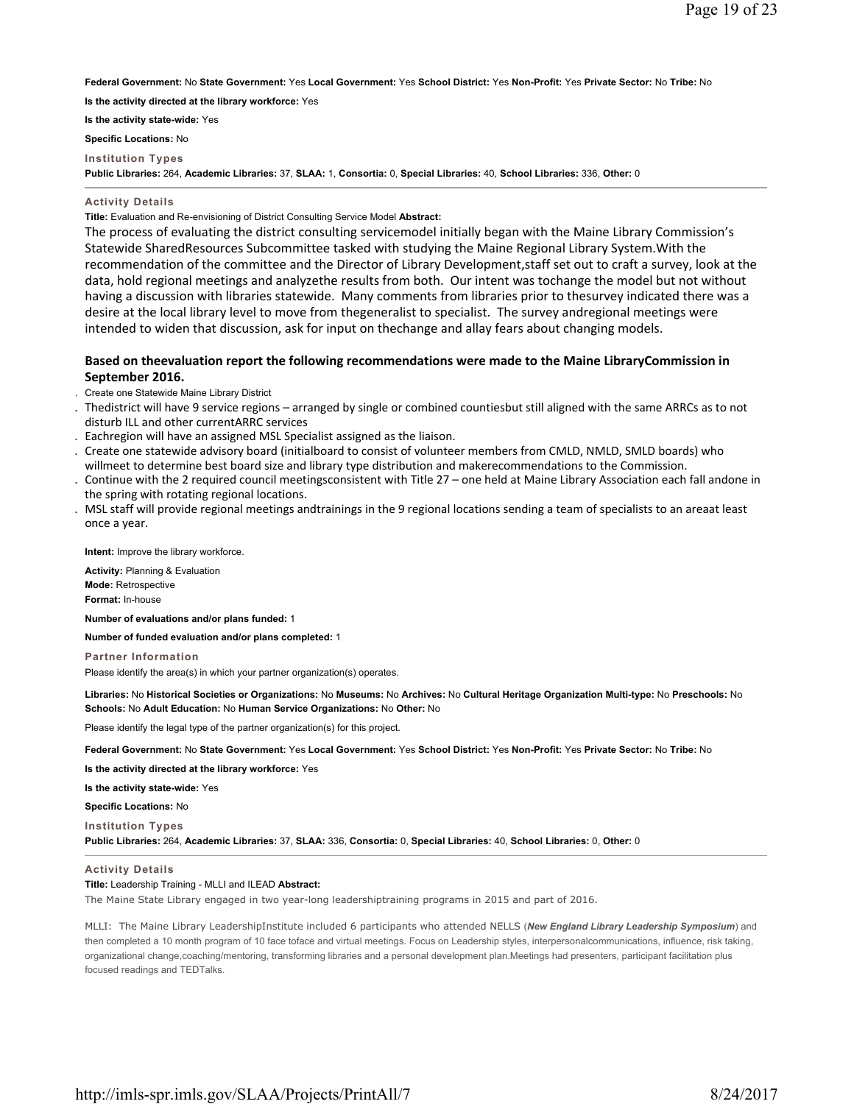**Federal Government:** No **State Government:** Yes **Local Government:** Yes **School District:** Yes **Non-Profit:** Yes **Private Sector:** No **Tribe:** No

**Is the activity directed at the library workforce:** Yes

**Is the activity state-wide:** Yes

**Specific Locations:** No

**Institution Types**

**Public Libraries:** 264, **Academic Libraries:** 37, **SLAA:** 1, **Consortia:** 0, **Special Libraries:** 40, **School Libraries:** 336, **Other:** 0

## **Activity Details**

**Title:** Evaluation and Re-envisioning of District Consulting Service Model **Abstract:**

The process of evaluating the district consulting servicemodel initially began with the Maine Library Commission's Statewide SharedResources Subcommittee tasked with studying the Maine Regional Library System.With the recommendation of the committee and the Director of Library Development,staff set out to craft a survey, look at the data, hold regional meetings and analyzethe results from both. Our intent was tochange the model but not without having a discussion with libraries statewide. Many comments from libraries prior to thesurvey indicated there was a desire at the local library level to move from thegeneralist to specialist. The survey andregional meetings were intended to widen that discussion, ask for input on thechange and allay fears about changing models.

# **Based on theevaluation report the following recommendations were made to the Maine LibraryCommission in September 2016.**

- . Create one Statewide Maine Library District
- . Thedistrict will have 9 service regions arranged by single or combined countiesbut still aligned with the same ARRCs as to not disturb ILL and other currentARRC services
- . Eachregion will have an assigned MSL Specialist assigned as the liaison.
- . Create one statewide advisory board (initialboard to consist of volunteer members from CMLD, NMLD, SMLD boards) who willmeet to determine best board size and library type distribution and makerecommendations to the Commission.
- . Continue with the 2 required council meetingsconsistent with Title 27 one held at Maine Library Association each fall andone in the spring with rotating regional locations.
- . MSL staff will provide regional meetings andtrainings in the 9 regional locations sending a team of specialists to an areaat least once a year.

**Intent:** Improve the library workforce.

**Activity:** Planning & Evaluation **Mode:** Retrospective **Format:** In-house

**Number of evaluations and/or plans funded:** 1

# **Number of funded evaluation and/or plans completed:** 1

**Partner Information**

Please identify the area(s) in which your partner organization(s) operates.

**Libraries:** No **Historical Societies or Organizations:** No **Museums:** No **Archives:** No **Cultural Heritage Organization Multi-type:** No **Preschools:** No **Schools:** No **Adult Education:** No **Human Service Organizations:** No **Other:** No

Please identify the legal type of the partner organization(s) for this project.

**Federal Government:** No **State Government:** Yes **Local Government:** Yes **School District:** Yes **Non-Profit:** Yes **Private Sector:** No **Tribe:** No

**Is the activity directed at the library workforce:** Yes

**Is the activity state-wide:** Yes

**Specific Locations:** No

**Institution Types**

**Public Libraries:** 264, **Academic Libraries:** 37, **SLAA:** 336, **Consortia:** 0, **Special Libraries:** 40, **School Libraries:** 0, **Other:** 0

# **Activity Details**

# **Title:** Leadership Training - MLLI and ILEAD **Abstract:**

The Maine State Library engaged in two year-long leadershiptraining programs in 2015 and part of 2016.

MLLI: The Maine Library LeadershipInstitute included 6 participants who attended NELLS (*New England Library Leadership Symposium*) and then completed a 10 month program of 10 face toface and virtual meetings. Focus on Leadership styles, interpersonalcommunications, influence, risk taking, organizational change,coaching/mentoring, transforming libraries and a personal development plan.Meetings had presenters, participant facilitation plus focused readings and TEDTalks.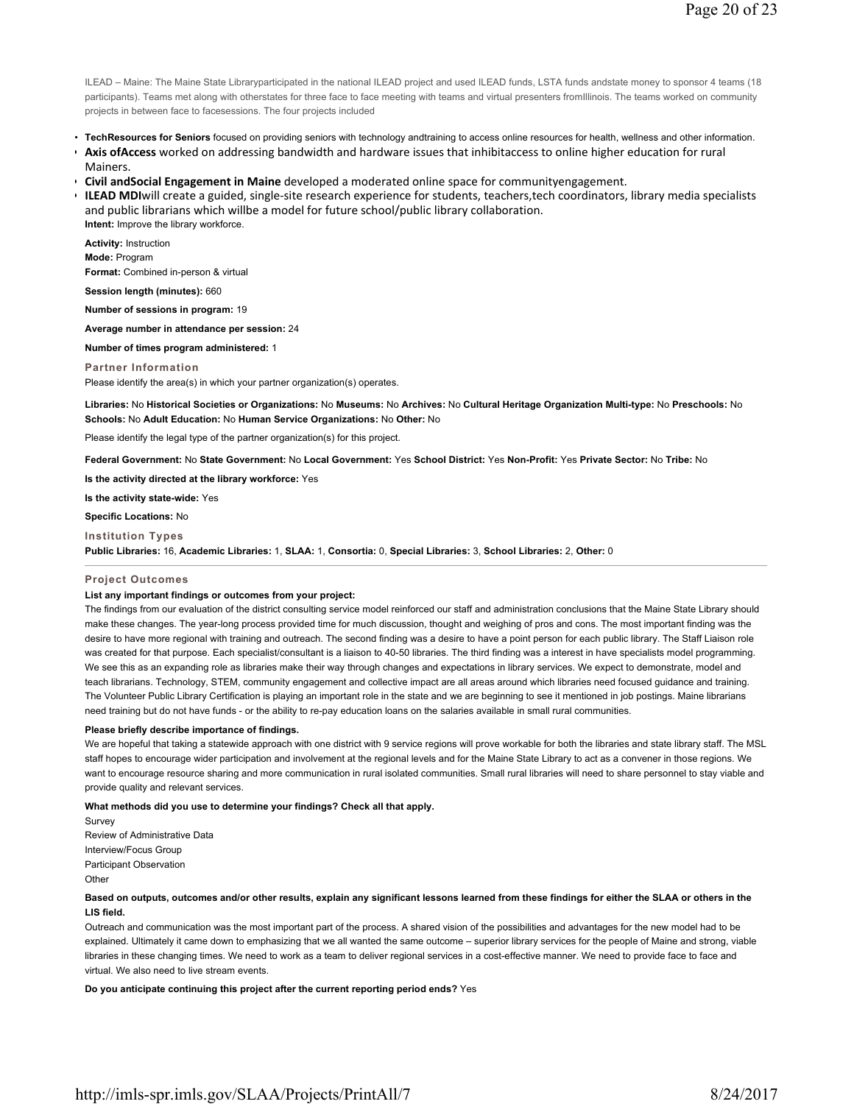ILEAD – Maine: The Maine State Libraryparticipated in the national ILEAD project and used ILEAD funds, LSTA funds andstate money to sponsor 4 teams (18 participants). Teams met along with otherstates for three face to face meeting with teams and virtual presenters fromIllinois. The teams worked on community projects in between face to facesessions. The four projects included

- **TechResources for Seniors** focused on providing seniors with technology andtraining to access online resources for health, wellness and other information.
- **Axis ofAccess** worked on addressing bandwidth and hardware issues that inhibitaccess to online higher education for rural Mainers.
- **Civil andSocial Engagement in Maine** developed a moderated online space for communityengagement.
- <sup>•</sup> **ILEAD MDI**will create a guided, single-site research experience for students, teachers,tech coordinators, library media specialists and public librarians which willbe a model for future school/public library collaboration. **Intent:** Improve the library workforce.

**Activity:** Instruction **Mode:** Program **Format:** Combined in-person & virtual

**Session length (minutes):** 660

**Number of sessions in program:** 19

**Average number in attendance per session:** 24

# **Number of times program administered:** 1

**Partner Information**

Please identify the area(s) in which your partner organization(s) operates.

**Libraries:** No **Historical Societies or Organizations:** No **Museums:** No **Archives:** No **Cultural Heritage Organization Multi-type:** No **Preschools:** No **Schools:** No **Adult Education:** No **Human Service Organizations:** No **Other:** No

Please identify the legal type of the partner organization(s) for this project.

**Federal Government:** No **State Government:** No **Local Government:** Yes **School District:** Yes **Non-Profit:** Yes **Private Sector:** No **Tribe:** No

**Is the activity directed at the library workforce:** Yes

**Is the activity state-wide:** Yes

**Specific Locations:** No

**Institution Types Public Libraries:** 16, **Academic Libraries:** 1, **SLAA:** 1, **Consortia:** 0, **Special Libraries:** 3, **School Libraries:** 2, **Other:** 0

#### **Project Outcomes**

#### **List any important findings or outcomes from your project:**

The findings from our evaluation of the district consulting service model reinforced our staff and administration conclusions that the Maine State Library should make these changes. The year-long process provided time for much discussion, thought and weighing of pros and cons. The most important finding was the desire to have more regional with training and outreach. The second finding was a desire to have a point person for each public library. The Staff Liaison role was created for that purpose. Each specialist/consultant is a liaison to 40-50 libraries. The third finding was a interest in have specialists model programming. We see this as an expanding role as libraries make their way through changes and expectations in library services. We expect to demonstrate, model and teach librarians. Technology, STEM, community engagement and collective impact are all areas around which libraries need focused guidance and training. The Volunteer Public Library Certification is playing an important role in the state and we are beginning to see it mentioned in job postings. Maine librarians need training but do not have funds - or the ability to re-pay education loans on the salaries available in small rural communities.

#### **Please briefly describe importance of findings.**

We are hopeful that taking a statewide approach with one district with 9 service regions will prove workable for both the libraries and state library staff. The MSL staff hopes to encourage wider participation and involvement at the regional levels and for the Maine State Library to act as a convener in those regions. We want to encourage resource sharing and more communication in rural isolated communities. Small rural libraries will need to share personnel to stay viable and provide quality and relevant services.

**What methods did you use to determine your findings? Check all that apply.**

Survey Review of Administrative Data Interview/Focus Group Participant Observation **Other** 

# **Based on outputs, outcomes and/or other results, explain any significant lessons learned from these findings for either the SLAA or others in the LIS field.**

Outreach and communication was the most important part of the process. A shared vision of the possibilities and advantages for the new model had to be explained. Ultimately it came down to emphasizing that we all wanted the same outcome – superior library services for the people of Maine and strong, viable libraries in these changing times. We need to work as a team to deliver regional services in a cost-effective manner. We need to provide face to face and virtual. We also need to live stream events.

**Do you anticipate continuing this project after the current reporting period ends?** Yes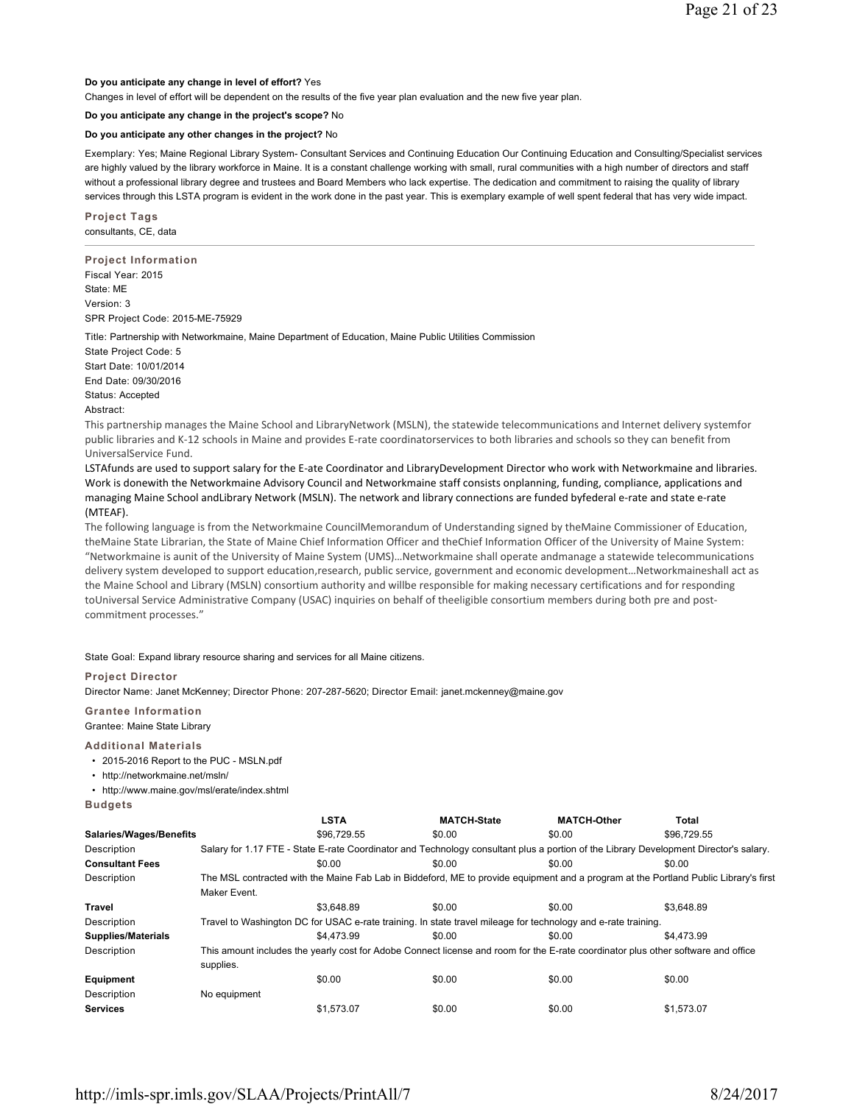# **Do you anticipate any change in level of effort?** Yes

Changes in level of effort will be dependent on the results of the five year plan evaluation and the new five year plan.

# **Do you anticipate any change in the project's scope?** No

## **Do you anticipate any other changes in the project?** No

Exemplary: Yes; Maine Regional Library System- Consultant Services and Continuing Education Our Continuing Education and Consulting/Specialist services are highly valued by the library workforce in Maine. It is a constant challenge working with small, rural communities with a high number of directors and staff without a professional library degree and trustees and Board Members who lack expertise. The dedication and commitment to raising the quality of library services through this LSTA program is evident in the work done in the past year. This is exemplary example of well spent federal that has very wide impact.

**Project Tags** consultants, CE, data

**Project Information** Fiscal Year: 2015 State: ME Version: 3 SPR Project Code: 2015-ME-75929

Title: Partnership with Networkmaine, Maine Department of Education, Maine Public Utilities Commission

State Project Code: 5 Start Date: 10/01/2014 End Date: 09/30/2016 Status: Accepted Abstract:

This partnership manages the Maine School and LibraryNetwork (MSLN), the statewide telecommunications and Internet delivery systemfor public libraries and K-12 schools in Maine and provides E-rate coordinatorservices to both libraries and schools so they can benefit from UniversalService Fund.

LSTAfunds are used to support salary for the E-ate Coordinator and LibraryDevelopment Director who work with Networkmaine and libraries. Work is donewith the Networkmaine Advisory Council and Networkmaine staff consists onplanning, funding, compliance, applications and managing Maine School andLibrary Network (MSLN). The network and library connections are funded byfederal e-rate and state e-rate (MTEAF).

The following language is from the Networkmaine CouncilMemorandum of Understanding signed by theMaine Commissioner of Education, theMaine State Librarian, the State of Maine Chief Information Officer and theChief Information Officer of the University of Maine System: "Networkmaine is aunit of the University of Maine System (UMS)…Networkmaine shall operate andmanage a statewide telecommunications delivery system developed to support education,research, public service, government and economic development…Networkmaineshall act as the Maine School and Library (MSLN) consortium authority and willbe responsible for making necessary certifications and for responding toUniversal Service Administrative Company (USAC) inquiries on behalf of theeligible consortium members during both pre and postcommitment processes."

State Goal: Expand library resource sharing and services for all Maine citizens.

# **Project Director**

Director Name: Janet McKenney; Director Phone: 207-287-5620; Director Email: janet.mckenney@maine.gov

**Grantee Information** Grantee: Maine State Library

**Additional Materials**

- 2015-2016 Report to the PUC MSLN.pdf
- http://networkmaine.net/msln/
- http://www.maine.gov/msl/erate/index.shtml

**Budgets**

|                           |              | <b>LSTA</b> | <b>MATCH-State</b>                                                                                                                    | <b>MATCH-Other</b> | <b>Total</b> |
|---------------------------|--------------|-------------|---------------------------------------------------------------------------------------------------------------------------------------|--------------------|--------------|
| Salaries/Wages/Benefits   |              | \$96,729.55 | \$0.00                                                                                                                                | \$0.00             | \$96.729.55  |
| Description               |              |             | Salary for 1.17 FTE - State E-rate Coordinator and Technology consultant plus a portion of the Library Development Director's salary. |                    |              |
| <b>Consultant Fees</b>    |              | \$0.00      | \$0.00                                                                                                                                | \$0.00             | \$0.00       |
| Description               |              |             | The MSL contracted with the Maine Fab Lab in Biddeford, ME to provide equipment and a program at the Portland Public Library's first  |                    |              |
|                           | Maker Event. |             |                                                                                                                                       |                    |              |
| Travel                    |              | \$3.648.89  | \$0.00                                                                                                                                | \$0.00             | \$3.648.89   |
| Description               |              |             | Travel to Washington DC for USAC e-rate training. In state travel mileage for technology and e-rate training.                         |                    |              |
| <b>Supplies/Materials</b> |              | \$4,473.99  | \$0.00                                                                                                                                | \$0.00             | \$4,473.99   |
| Description               |              |             | This amount includes the yearly cost for Adobe Connect license and room for the E-rate coordinator plus other software and office     |                    |              |
|                           | supplies.    |             |                                                                                                                                       |                    |              |
| Equipment                 |              | \$0.00      | \$0.00                                                                                                                                | \$0.00             | \$0.00       |
| Description               | No equipment |             |                                                                                                                                       |                    |              |
| <b>Services</b>           |              | \$1.573.07  | \$0.00                                                                                                                                | \$0.00             | \$1.573.07   |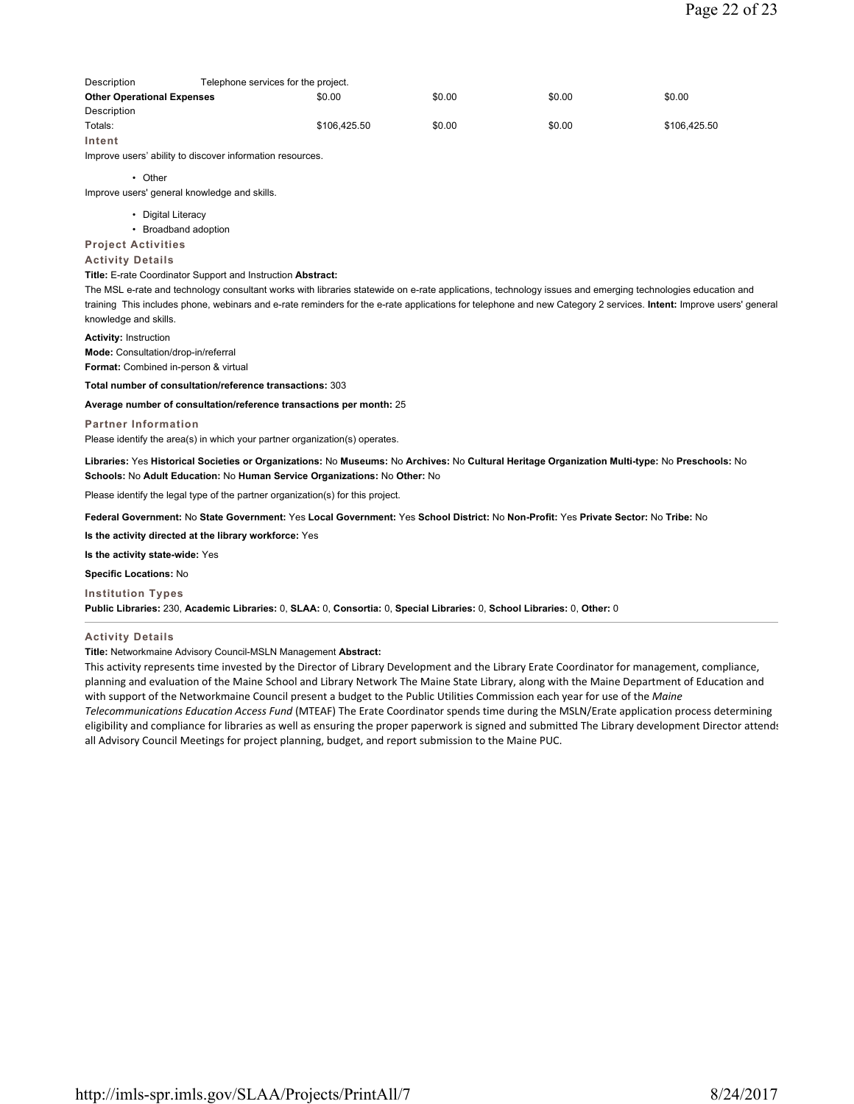| Description                       | Telephone services for the project. |              |        |        |              |
|-----------------------------------|-------------------------------------|--------------|--------|--------|--------------|
| <b>Other Operational Expenses</b> |                                     | \$0.00       | \$0.00 | \$0.00 | \$0.00       |
| Description                       |                                     |              |        |        |              |
| Totals:                           |                                     | \$106,425.50 | \$0.00 | \$0.00 | \$106,425.50 |
| Intent                            |                                     |              |        |        |              |

Improve users' ability to discover information resources.

# • Other

Improve users' general knowledge and skills.

- Digital Literacy
- Broadband adoption

**Project Activities**

# **Activity Details**

# **Title:** E-rate Coordinator Support and Instruction **Abstract:**

The MSL e-rate and technology consultant works with libraries statewide on e-rate applications, technology issues and emerging technologies education and training This includes phone, webinars and e-rate reminders for the e-rate applications for telephone and new Category 2 services. **Intent:** Improve users' general knowledge and skills.

**Activity:** Instruction

**Mode:** Consultation/drop-in/referral

**Format:** Combined in-person & virtual

**Total number of consultation/reference transactions:** 303

# **Average number of consultation/reference transactions per month:** 25

**Partner Information**

Please identify the area(s) in which your partner organization(s) operates.

**Libraries:** Yes **Historical Societies or Organizations:** No **Museums:** No **Archives:** No **Cultural Heritage Organization Multi-type:** No **Preschools:** No **Schools:** No **Adult Education:** No **Human Service Organizations:** No **Other:** No

Please identify the legal type of the partner organization(s) for this project.

**Federal Government:** No **State Government:** Yes **Local Government:** Yes **School District:** No **Non-Profit:** Yes **Private Sector:** No **Tribe:** No

**Is the activity directed at the library workforce:** Yes

**Is the activity state-wide:** Yes

**Specific Locations:** No

## **Institution Types**

**Public Libraries:** 230, **Academic Libraries:** 0, **SLAA:** 0, **Consortia:** 0, **Special Libraries:** 0, **School Libraries:** 0, **Other:** 0

# **Activity Details**

# **Title:** Networkmaine Advisory Council-MSLN Management **Abstract:**

This activity represents time invested by the Director of Library Development and the Library Erate Coordinator for management, compliance, planning and evaluation of the Maine School and Library Network The Maine State Library, along with the Maine Department of Education and with support of the Networkmaine Council present a budget to the Public Utilities Commission each year for use of the *Maine Telecommunications Education Access Fund* (MTEAF) The Erate Coordinator spends time during the MSLN/Erate application process determining eligibility and compliance for libraries as well as ensuring the proper paperwork is signed and submitted The Library development Director attends all Advisory Council Meetings for project planning, budget, and report submission to the Maine PUC.